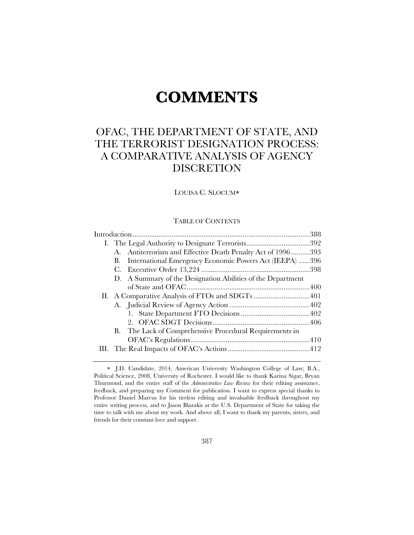# **COMMENTS**

# OFAC, THE DEPARTMENT OF STATE, AND THE TERRORIST DESIGNATION PROCESS: A COMPARATIVE ANALYSIS OF AGENCY DISCRETION

LOUISA C. SLOCUM

#### TABLE OF CONTENTS

|  |             | A. Antiterrorism and Effective Death Penalty Act of 1996393 |  |  |
|--|-------------|-------------------------------------------------------------|--|--|
|  | В.          | International Emergency Economic Powers Act (IEEPA) 396     |  |  |
|  | $C_{\cdot}$ |                                                             |  |  |
|  |             | D. A Summary of the Designation Abilities of the Department |  |  |
|  |             |                                                             |  |  |
|  |             |                                                             |  |  |
|  |             |                                                             |  |  |
|  |             |                                                             |  |  |
|  |             |                                                             |  |  |
|  |             | B. The Lack of Comprehensive Procedural Requirements in     |  |  |
|  |             |                                                             |  |  |
|  |             |                                                             |  |  |
|  |             |                                                             |  |  |

J.D. Candidate, 2014, American University Washington College of Law; B.A., Political Science, 2008, University of Rochester. I would like to thank Karina Sigar, Bryan Thurmond, and the entire staff of the *Administrative Law Review* for their editing assistance, feedback, and preparing my Comment for publication. I want to express special thanks to Professor Daniel Marcus for his tireless editing and invaluable feedback throughout my entire writing process, and to Jason Blazakis at the U.S. Department of State for taking the time to talk with me about my work. And above all, I want to thank my parents, sisters, and friends for their constant love and support.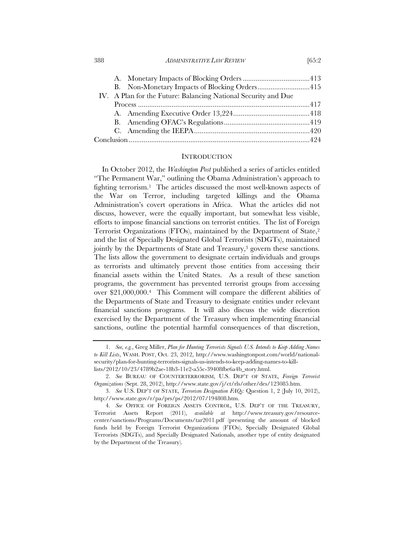388 *ADMINISTRATIVE LAW REVIEW* [65:2

| B. Non-Monetary Impacts of Blocking Orders415                  |  |  |  |  |
|----------------------------------------------------------------|--|--|--|--|
| IV. A Plan for the Future: Balancing National Security and Due |  |  |  |  |
|                                                                |  |  |  |  |
|                                                                |  |  |  |  |
|                                                                |  |  |  |  |
|                                                                |  |  |  |  |
|                                                                |  |  |  |  |
|                                                                |  |  |  |  |

#### **INTRODUCTION**

In October 2012, the *Washington Post* published a series of articles entitled "The Permanent War," outlining the Obama Administration's approach to fighting terrorism.1 The articles discussed the most well-known aspects of the War on Terror, including targeted killings and the Obama Administration's covert operations in Africa. What the articles did not discuss, however, were the equally important, but somewhat less visible, efforts to impose financial sanctions on terrorist entities. The list of Foreign Terrorist Organizations (FTOs), maintained by the Department of State,2 and the list of Specially Designated Global Terrorists (SDGTs), maintained jointly by the Departments of State and Treasury,<sup>3</sup> govern these sanctions. The lists allow the government to designate certain individuals and groups as terrorists and ultimately prevent those entities from accessing their financial assets within the United States. As a result of these sanction programs, the government has prevented terrorist groups from accessing over \$21,000,000.4 This Comment will compare the different abilities of the Departments of State and Treasury to designate entities under relevant financial sanctions programs. It will also discuss the wide discretion exercised by the Department of the Treasury when implementing financial sanctions, outline the potential harmful consequences of that discretion,

 <sup>1.</sup> *See, e.g.*, Greg Miller, *Plan for Hunting Terrorists Signals U.S. Intends to Keep Adding Names to Kill Lists*, WASH. POST, Oct. 23, 2012, http://www.washingtonpost.com/world/nationalsecurity/plan-for-hunting-terrorists-signals-us-intends-to-keep-adding-names-to-killlists/2012/10/23/4789b2ae-18b3-11e2-a55c-39408fbe6a4b\_story.html.

 <sup>2.</sup> *See* BUREAU OF COUNTERTERRORISM, U.S. DEP'T OF STATE, *Foreign Terrorist Organizations* (Sept. 28, 2012), http://www.state.gov/j/ct/rls/other/des/123085.htm.

 <sup>3.</sup> *See* U.S. DEP'T OF STATE, *Terrorism Designation FAQs:* Question 1, 2 (July 10, 2012), http://www.state.gov/r/pa/prs/ps/2012/07/194808.htm.

 <sup>4.</sup> *See* OFFICE OF FOREIGN ASSETS CONTROL, U.S. DEP'T OF THE TREASURY, Terrorist Assets Report (2011), *available at* http://www.treasury.gov/resourcecenter/sanctions/Programs/Documents/tar2011.pdf (presenting the amount of blocked funds held by Foreign Terrorist Organizations (FTOs), Specially Designated Global Terrorists (SDGTs), and Specially Designated Nationals, another type of entity designated by the Department of the Treasury).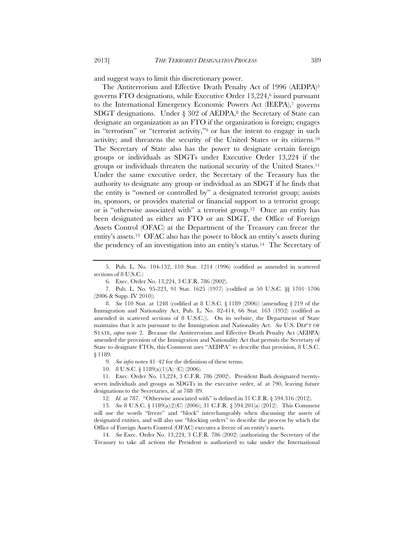and suggest ways to limit this discretionary power.

The Antiterrorism and Effective Death Penalty Act of 1996 (AEDPA)5 governs FTO designations, while Executive Order 13,224,6 issued pursuant to the International Emergency Economic Powers Act (IEEPA),<sup>7</sup> governs SDGT designations. Under  $\S 302$  of AEDPA,<sup>8</sup> the Secretary of State can designate an organization as an FTO if the organization is foreign; engages in "terrorism" or "terrorist activity,"9 or has the intent to engage in such activity; and threatens the security of the United States or its citizens.10 The Secretary of State also has the power to designate certain foreign groups or individuals as SDGTs under Executive Order 13,224 if the groups or individuals threaten the national security of the United States.11 Under the same executive order, the Secretary of the Treasury has the authority to designate any group or individual as an SDGT if he finds that the entity is "owned or controlled by" a designated terrorist group; assists in, sponsors, or provides material or financial support to a terrorist group; or is "otherwise associated with" a terrorist group.12 Once an entity has been designated as either an FTO or an SDGT, the Office of Foreign Assets Control (OFAC) at the Department of the Treasury can freeze the entity's assets.13 OFAC also has the power to block an entity's assets during the pendency of an investigation into an entity's status.14 The Secretary of

6. Exec. Order No. 13,224, 3 C.F.R. 786 (2002).

 8. *See* 110 Stat. at 1248 (codified at 8 U.S.C. § 1189 (2006)) (amending § 219 of the Immigration and Nationality Act, Pub. L. No. 82-414, 66 Stat. 163 (1952) (codified as amended in scattered sections of 8 U.S.C.)). On its website, the Department of State maintains that it acts pursuant to the Immigration and Nationality Act. *See* U.S. DEP'T OF STATE, *supra* note 2. Because the Antiterrorism and Effective Death Penalty Act (AEDPA) amended the provision of the Immigration and Nationality Act that permits the Secretary of State to designate FTOs, this Comment uses "AEDPA" to describe that provision, 8 U.S.C. § 1189.

9. *See infra* notes 41–42 for the definition of these terms.

10. 8 U.S.C. § 1189(a)(1)(A)–(C) (2006).

 11. Exec. Order No. 13,224, 3 C.F.R. 786 (2002). President Bush designated twentyseven individuals and groups as SDGTs in the executive order, *id.* at 790, leaving future designations to the Secretaries, *id.* at 788–89.

12. *Id.* at 787. "Otherwise associated with" is defined in 31 C.F.R. § 594.316 (2012).

 13. *See* 8 U.S.C. § 1189(a)(2)(C) (2006); 31 C.F.R. § 594.201(a) (2012). This Comment will use the words "freeze" and "block" interchangeably when discussing the assets of designated entities, and will also use "blocking orders" to describe the process by which the Office of Foreign Assets Control (OFAC) executes a freeze of an entity's assets.

 14. *See* Exec. Order No. 13,224, 3 C.F.R. 786 (2002) (authorizing the Secretary of the Treasury to take all actions the President is authorized to take under the International

 <sup>5.</sup> Pub. L. No. 104-132, 110 Stat. 1214 (1996) (codified as amended in scattered sections of 8 U.S.C.)

 <sup>7.</sup> Pub. L. No. 95-223, 91 Stat. 1625 (1977) (codified at 50 U.S.C. §§ 1701–1706 (2006 & Supp. IV 2010)).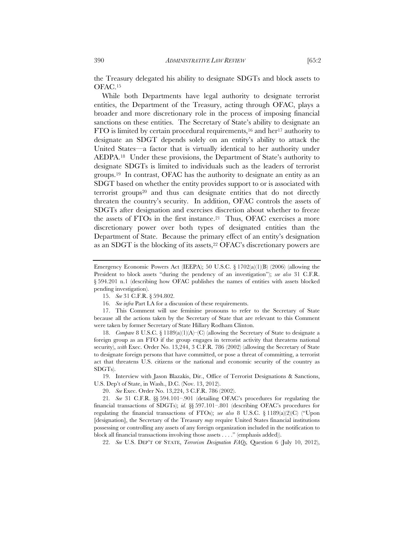the Treasury delegated his ability to designate SDGTs and block assets to OFAC.15

While both Departments have legal authority to designate terrorist entities, the Department of the Treasury, acting through OFAC, plays a broader and more discretionary role in the process of imposing financial sanctions on these entities. The Secretary of State's ability to designate an FTO is limited by certain procedural requirements,<sup>16</sup> and her<sup>17</sup> authority to designate an SDGT depends solely on an entity's ability to attack the United States—a factor that is virtually identical to her authority under AEDPA.18 Under these provisions, the Department of State's authority to designate SDGTs is limited to individuals such as the leaders of terrorist groups.19 In contrast, OFAC has the authority to designate an entity as an SDGT based on whether the entity provides support to or is associated with terrorist groups20 and thus can designate entities that do not directly threaten the country's security. In addition, OFAC controls the assets of SDGTs after designation and exercises discretion about whether to freeze the assets of FTOs in the first instance.21 Thus, OFAC exercises a more discretionary power over both types of designated entities than the Department of State. Because the primary effect of an entity's designation as an SDGT is the blocking of its assets,<sup>22</sup> OFAC's discretionary powers are

 18. *Compare* 8 U.S.C. § 1189(a)(1)(A)–(C) (allowing the Secretary of State to designate a foreign group as an FTO if the group engages in terrorist activity that threatens national security), *with* Exec. Order No. 13,244, 3 C.F.R. 786 (2002) (allowing the Secretary of State to designate foreign persons that have committed, or pose a threat of committing, a terrorist act that threatens U.S. citizens or the national and economic security of the country as SDGTs).

 19. Interview with Jason Blazakis, Dir., Office of Terrorist Designations & Sanctions, U.S. Dep't of State, in Wash., D.C. (Nov. 13, 2012).

20. *See* Exec. Order No. 13,224, 3 C.F.R. 786 (2002).

21*. See* 31 C.F.R. §§ 594.101–.901 (detailing OFAC's procedures for regulating the financial transactions of SDGTs); *id.* §§ 597.101–.801 (describing OFAC's procedures for regulating the financial transactions of FTOs); *see also* 8 U.S.C. § 1189(a)(2)(C) ("Upon [designation], the Secretary of the Treasury *may* require United States financial institutions possessing or controlling any assets of any foreign organization included in the notification to block all financial transactions involving those assets . . . ." (emphasis added)).

22. *See* U.S. DEP'T OF STATE, *Terrorism Designation FAQs,* Question 6 (July 10, 2012),

Emergency Economic Powers Act (IEEPA); 50 U.S.C.  $\S 1702(a)(1)(B)$  (2006) (allowing the President to block assets "during the pendency of an investigation"); *see also* 31 C.F.R. § 594.201 n.1 (describing how OFAC publishes the names of entities with assets blocked pending investigation).

 <sup>15.</sup> *See* 31 C.F.R. § 594.802.

 <sup>16.</sup> *See infra* Part I.A for a discussion of these requirements.

 <sup>17.</sup> This Comment will use feminine pronouns to refer to the Secretary of State because all the actions taken by the Secretary of State that are relevant to this Comment were taken by former Secretary of State Hillary Rodham Clinton.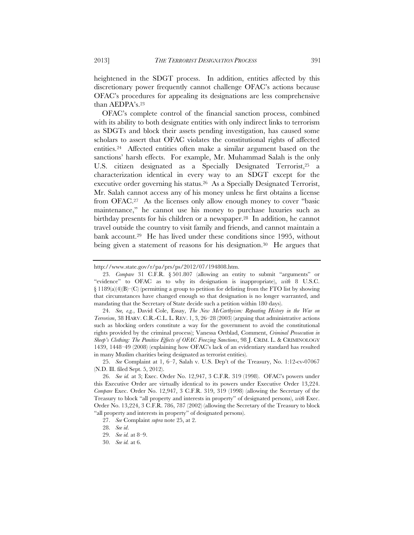heightened in the SDGT process. In addition, entities affected by this discretionary power frequently cannot challenge OFAC's actions because OFAC's procedures for appealing its designations are less comprehensive than AEDPA's.23

OFAC's complete control of the financial sanction process, combined with its ability to both designate entities with only indirect links to terrorism as SDGTs and block their assets pending investigation, has caused some scholars to assert that OFAC violates the constitutional rights of affected entities.24 Affected entities often make a similar argument based on the sanctions' harsh effects. For example, Mr. Muhammad Salah is the only U.S. citizen designated as a Specially Designated Terrorist,<sup>25</sup> a characterization identical in every way to an SDGT except for the executive order governing his status.26 As a Specially Designated Terrorist, Mr. Salah cannot access any of his money unless he first obtains a license from OFAC.27 As the licenses only allow enough money to cover "basic maintenance," he cannot use his money to purchase luxuries such as birthday presents for his children or a newspaper.28 In addition, he cannot travel outside the country to visit family and friends, and cannot maintain a bank account.29 He has lived under these conditions since 1995, without being given a statement of reasons for his designation.<sup>30</sup> He argues that

http://www.state.gov/r/pa/prs/ps/2012/07/194808.htm.

 <sup>23.</sup> *Compare* 31 C.F.R. § 501.807 (allowing an entity to submit "arguments" or "evidence" to OFAC as to why its designation is inappropriate), *with* 8 U.S.C.  $\S 1189(a)(4)(B)$ –(C) (permitting a group to petition for delisting from the FTO list by showing that circumstances have changed enough so that designation is no longer warranted, and mandating that the Secretary of State decide such a petition within 180 days).

 <sup>24.</sup> *See, e.g.*, David Cole, Essay, *The New McCarthyism: Repeating History in the War on Terrorism*, 38 HARV. C.R.-C.L. L. REV. 1, 3, 26–28 (2003) (arguing that administrative actions such as blocking orders constitute a way for the government to avoid the constitutional rights provided by the criminal process); Vanessa Ortblad, Comment, *Criminal Prosecution in Sheep's Clothing: The Punitive Effects of OFAC Freezing Sanctions*, 98 J. CRIM. L. & CRIMINOLOGY 1439, 1448–49 (2008) (explaining how OFAC's lack of an evidentiary standard has resulted in many Muslim charities being designated as terrorist entities).

 <sup>25.</sup> *See* Complaint at 1, 6–7, Salah v. U.S. Dep't of the Treasury, No. 1:12-cv-07067 (N.D. Ill. filed Sept. 5, 2012).

 <sup>26.</sup> *See id.* at 3; Exec. Order No. 12,947, 3 C.F.R. 319 (1998). OFAC's powers under this Executive Order are virtually identical to its powers under Executive Order 13,224. *Compare* Exec. Order No. 12,947, 3 C.F.R. 319, 319 (1998) (allowing the Secretary of the Treasury to block "all property and interests in property" of designated persons), *with* Exec. Order No. 13,224, 3 C.F.R. 786, 787 (2002) (allowing the Secretary of the Treasury to block "all property and interests in property" of designated persons).

 <sup>27.</sup> *See* Complaint *supra* note 25, at 2.

 <sup>28.</sup> *See id*.

 <sup>29.</sup> *See id.* at 8–9.

 <sup>30.</sup> *See id.* at 6.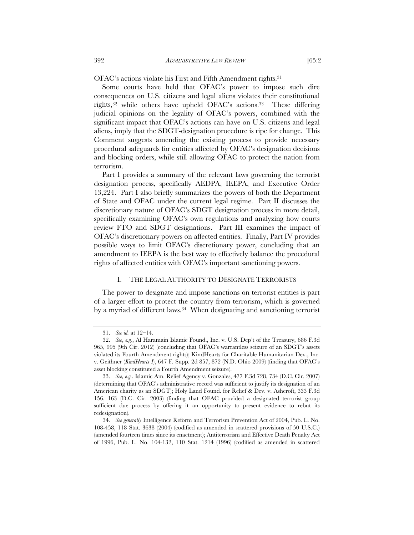OFAC's actions violate his First and Fifth Amendment rights.31

Some courts have held that OFAC's power to impose such dire consequences on U.S. citizens and legal aliens violates their constitutional rights,32 while others have upheld OFAC's actions.33 These differing judicial opinions on the legality of OFAC's powers, combined with the significant impact that OFAC's actions can have on U.S. citizens and legal aliens, imply that the SDGT-designation procedure is ripe for change. This Comment suggests amending the existing process to provide necessary procedural safeguards for entities affected by OFAC's designation decisions and blocking orders, while still allowing OFAC to protect the nation from terrorism.

Part I provides a summary of the relevant laws governing the terrorist designation process, specifically AEDPA, IEEPA, and Executive Order 13,224. Part I also briefly summarizes the powers of both the Department of State and OFAC under the current legal regime. Part II discusses the discretionary nature of OFAC's SDGT designation process in more detail, specifically examining OFAC's own regulations and analyzing how courts review FTO and SDGT designations. Part III examines the impact of OFAC's discretionary powers on affected entities. Finally, Part IV provides possible ways to limit OFAC's discretionary power, concluding that an amendment to IEEPA is the best way to effectively balance the procedural rights of affected entities with OFAC's important sanctioning powers.

#### I. THE LEGAL AUTHORITY TO DESIGNATE TERRORISTS

The power to designate and impose sanctions on terrorist entities is part of a larger effort to protect the country from terrorism, which is governed by a myriad of different laws.<sup>34</sup> When designating and sanctioning terrorist

 <sup>31.</sup> *See id.* at 12–14.

 <sup>32.</sup> *See*, *e.g.*, Al Haramain Islamic Found., Inc. v. U.S. Dep't of the Treasury, 686 F.3d 965, 995 (9th Cir. 2012) (concluding that OFAC's warrantless seizure of an SDGT's assets violated its Fourth Amendment rights); KindHearts for Charitable Humanitarian Dev., Inc. v. Geithner (*KindHearts I*), 647 F. Supp. 2d 857, 872 (N.D. Ohio 2009) (finding that OFAC's asset blocking constituted a Fourth Amendment seizure).

 <sup>33.</sup> *See, e.g.*, Islamic Am. Relief Agency v. Gonzales, 477 F.3d 728, 734 (D.C. Cir. 2007) (determining that OFAC's administrative record was sufficient to justify its designation of an American charity as an SDGT); Holy Land Found. for Relief & Dev. v. Ashcroft, 333 F.3d 156, 163 (D.C. Cir. 2003) (finding that OFAC provided a designated terrorist group sufficient due process by offering it an opportunity to present evidence to rebut its redesignation).

 <sup>34.</sup> *See generally* Intelligence Reform and Terrorism Prevention Act of 2004, Pub. L. No. 108-458, 118 Stat. 3638 (2004) (codified as amended in scattered provisions of 50 U.S.C.) (amended fourteen times since its enactment); Antiterrorism and Effective Death Penalty Act of 1996, Pub. L. No. 104-132, 110 Stat. 1214 (1996) (codified as amended in scattered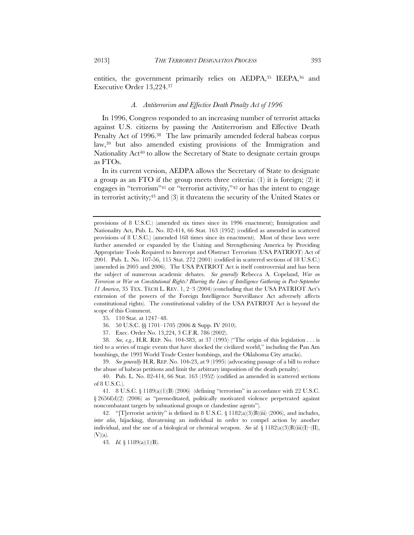entities, the government primarily relies on AEDPA, 35 IEEPA, 36 and

#### *A. Antiterrorism and Effective Death Penalty Act of 1996*

In 1996, Congress responded to an increasing number of terrorist attacks against U.S. citizens by passing the Antiterrorism and Effective Death Penalty Act of 1996.<sup>38</sup> The law primarily amended federal habeas corpus law,39 but also amended existing provisions of the Immigration and Nationality Act<sup>40</sup> to allow the Secretary of State to designate certain groups as FTOs.

In its current version, AEDPA allows the Secretary of State to designate a group as an FTO if the group meets three criteria: (1) it is foreign; (2) it engages in "terrorism"41 or "terrorist activity,"42 or has the intent to engage in terrorist activity;43 and (3) it threatens the security of the United States or

35. 110 Stat. at 1247–48.

36. 50 U.S.C. §§ 1701–1705 (2006 & Supp. IV 2010).

37. Exec. Order No. 13,224, 3 C.F.R. 786 (2002).

 38. *See, e.g.*, H.R. REP. No. 104-383, at 37 (1995) ("The origin of this legislation . . . is tied to a series of tragic events that have shocked the civilized world," including the Pan Am bombings, the 1993 World Trade Center bombings, and the Oklahoma City attacks).

 39. *See generally* H.R. REP. No. 104-23, at 9 (1995) (advocating passage of a bill to reduce the abuse of habeas petitions and limit the arbitrary imposition of the death penalty).

 40. Pub. L. No. 82-414, 66 Stat. 163 (1952) (codified as amended in scattered sections of 8 U.S.C.).

 41. 8 U.S.C. § 1189(a)(1)(B) (2006) (defining "terrorism" in accordance with 22 U.S.C. § 2656f(d)(2) (2006) as "premeditated, politically motivated violence perpetrated against noncombatant targets by subnational groups or clandestine agents").

 42. "[T]errorist activity" is defined in 8 U.S.C. § 1182(a)(3)(B)(iii) (2006), and includes, *inter alia*, hijacking, threatening an individual in order to compel action by another individual, and the use of a biological or chemical weapon. *See id.* § 1182(a)(3)(B)(iii)(I)–(II),  $(V)(a)$ .

43. *Id.* § 1189(a)(1)(B).

Executive Order 13,224.37

provisions of 8 U.S.C.) (amended six times since its 1996 enactment); Immigration and Nationality Act, Pub. L. No. 82-414, 66 Stat. 163 (1952) (codified as amended in scattered provisions of 8 U.S.C.) (amended 168 times since its enactment). Most of these laws were further amended or expanded by the Uniting and Strengthening America by Providing Appropriate Tools Required to Intercept and Obstruct Terrorism (USA PATRIOT) Act of 2001. Pub. L. No. 107-56, 115 Stat. 272 (2001) (codified in scattered sections of 18 U.S.C.) (amended in 2005 and 2006). The USA PATRIOT Act is itself controversial and has been the subject of numerous academic debates. *See generally* Rebecca A. Copeland, *War on Terrorism or War on Constitutional Rights? Blurring the Lines of Intelligence Gathering in Post-September 11 America*, 35 TEX. TECH L. REV. 1, 2–3 (2004) (concluding that the USA PATRIOT Act's extension of the powers of the Foreign Intelligence Surveillance Act adversely affects constitutional rights). The constitutional validity of the USA PATRIOT Act is beyond the scope of this Comment.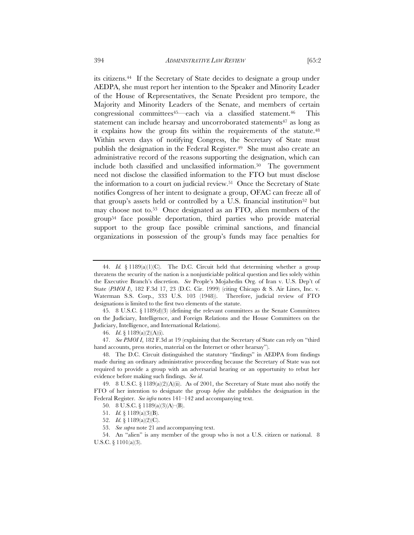its citizens.44 If the Secretary of State decides to designate a group under AEDPA, she must report her intention to the Speaker and Minority Leader of the House of Representatives, the Senate President pro tempore, the Majority and Minority Leaders of the Senate, and members of certain congressional committees<sup>45</sup>—each via a classified statement.<sup>46</sup> This statement can include hearsay and uncorroborated statements<sup>47</sup> as long as it explains how the group fits within the requirements of the statute.48 Within seven days of notifying Congress, the Secretary of State must publish the designation in the Federal Register.<sup>49</sup> She must also create an administrative record of the reasons supporting the designation, which can include both classified and unclassified information.50 The government need not disclose the classified information to the FTO but must disclose the information to a court on judicial review.51 Once the Secretary of State notifies Congress of her intent to designate a group, OFAC can freeze all of that group's assets held or controlled by a U.S. financial institution<sup>52</sup> but may choose not to.53 Once designated as an FTO, alien members of the group54 face possible deportation, third parties who provide material

support to the group face possible criminal sanctions, and financial organizations in possession of the group's funds may face penalties for

 <sup>44.</sup> *Id.* § 1189(a)(1)(C). The D.C. Circuit held that determining whether a group threatens the security of the nation is a nonjusticiable political question and lies solely within the Executive Branch's discretion. *See* People's Mojahedin Org. of Iran v. U.S. Dep't of State (*PMOI I*), 182 F.3d 17, 23 (D.C. Cir. 1999) (citing Chicago & S. Air Lines, Inc. v. Waterman S.S. Corp., 333 U.S. 103 (1948)). Therefore, judicial review of FTO designations is limited to the first two elements of the statute.

 <sup>45. 8</sup> U.S.C. § 1189(d)(3) (defining the relevant committees as the Senate Committees on the Judiciary, Intelligence, and Foreign Relations and the House Committees on the Judiciary, Intelligence, and International Relations).

 <sup>46.</sup> *Id*. § 1189(a)(2)(A)(i).

 <sup>47.</sup> *See PMOI I*, 182 F.3d at 19 (explaining that the Secretary of State can rely on "third hand accounts, press stories, material on the Internet or other hearsay").

 <sup>48.</sup> The D.C. Circuit distinguished the statutory "findings" in AEDPA from findings made during an ordinary administrative proceeding because the Secretary of State was not required to provide a group with an adversarial hearing or an opportunity to rebut her evidence before making such findings. *See id*.

 <sup>49. 8</sup> U.S.C. § 1189(a)(2)(A)(ii). As of 2001, the Secretary of State must also notify the FTO of her intention to designate the group *before* she publishes the designation in the Federal Register. *See infra* notes 141–142 and accompanying text.

 <sup>50. 8</sup> U.S.C. § 1189(a)(3)(A)–(B).

 <sup>51.</sup> *Id.* § 1189(a)(3)(B).

 <sup>52.</sup> *Id.* § 1189(a)(2)(C).

 <sup>53.</sup> *See supra* note 21 and accompanying text.

 <sup>54.</sup> An "alien" is any member of the group who is not a U.S. citizen or national. 8 U.S.C. § 1101(a)(3).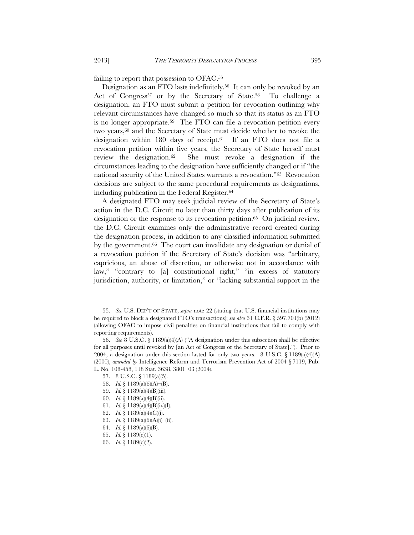failing to report that possession to OFAC.55

Designation as an FTO lasts indefinitely.56 It can only be revoked by an Act of Congress<sup>57</sup> or by the Secretary of State.<sup>58</sup> To challenge a designation, an FTO must submit a petition for revocation outlining why relevant circumstances have changed so much so that its status as an FTO is no longer appropriate.<sup>59</sup> The FTO can file a revocation petition every two years,<sup>60</sup> and the Secretary of State must decide whether to revoke the designation within 180 days of receipt.61 If an FTO does not file a revocation petition within five years, the Secretary of State herself must review the designation.62 She must revoke a designation if the circumstances leading to the designation have sufficiently changed or if "the national security of the United States warrants a revocation."63 Revocation decisions are subject to the same procedural requirements as designations, including publication in the Federal Register.64

A designated FTO may seek judicial review of the Secretary of State's action in the D.C. Circuit no later than thirty days after publication of its designation or the response to its revocation petition.<sup>65</sup> On judicial review, the D.C. Circuit examines only the administrative record created during the designation process, in addition to any classified information submitted by the government.<sup>66</sup> The court can invalidate any designation or denial of a revocation petition if the Secretary of State's decision was "arbitrary, capricious, an abuse of discretion, or otherwise not in accordance with law," "contrary to [a] constitutional right," "in excess of statutory jurisdiction, authority, or limitation," or "lacking substantial support in the

- 57. 8 U.S.C. § 1189(a)(5).
- 58. *Id.* § 1189(a)(6)(A)–(B).
- 59. *Id.* § 1189(a)(4)(B)(iii).
- 60. *Id.* § 1189(a)(4)(B)(ii).
- 61. *Id.* § 1189(a)(4)(B)(iv)(I).
- 62. *Id.* § 1189(a)(4)(C)(i).
- 63. *Id.* § 1189(a)(6)(A)(i)–(ii).
- 64. *Id.* § 1189(a)(6)(B).
- 65. *Id.* § 1189(c)(1).
- 66. *Id.* § 1189(c)(2).

 <sup>55.</sup> *See* U.S. DEP'T OF STATE, *supra* note 22 (stating that U.S. financial institutions may be required to block a designated FTO's transactions); *see also* 31 C.F.R. § 597.701(b) (2012) (allowing OFAC to impose civil penalties on financial institutions that fail to comply with reporting requirements).

 <sup>56.</sup> *See* 8 U.S.C. § 1189(a)(4)(A) ("A designation under this subsection shall be effective for all purposes until revoked by [an Act of Congress or the Secretary of State]."). Prior to 2004, a designation under this section lasted for only two years. 8 U.S.C.  $\S$  1189(a)(4)(A) (2000), *amended by* Intelligence Reform and Terrorism Prevention Act of 2004 § 7119, Pub. L. No. 108-458, 118 Stat. 3638, 3801–03 (2004).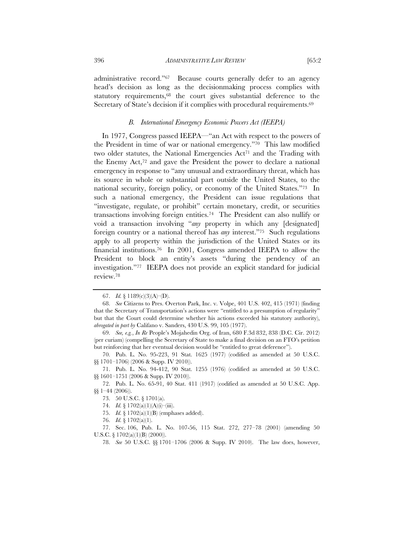administrative record."67 Because courts generally defer to an agency head's decision as long as the decisionmaking process complies with statutory requirements,68 the court gives substantial deference to the Secretary of State's decision if it complies with procedural requirements.<sup>69</sup>

#### *B. International Emergency Economic Powers Act (IEEPA)*

In 1977, Congress passed IEEPA—"an Act with respect to the powers of the President in time of war or national emergency."70 This law modified two older statutes, the National Emergencies Act<sup>71</sup> and the Trading with the Enemy Act, $7^2$  and gave the President the power to declare a national emergency in response to "any unusual and extraordinary threat, which has its source in whole or substantial part outside the United States, to the national security, foreign policy, or economy of the United States."73 In such a national emergency, the President can issue regulations that "investigate, regulate, or prohibit" certain monetary, credit, or securities transactions involving foreign entities.74 The President can also nullify or void a transaction involving "*any* property in which any [designated] foreign country or a national thereof has *any* interest."75 Such regulations apply to all property within the jurisdiction of the United States or its financial institutions.76 In 2001, Congress amended IEEPA to allow the President to block an entity's assets "during the pendency of an investigation."77 IEEPA does not provide an explicit standard for judicial review.78

75. *Id.* § 1702(a)(1)(B) (emphases added).

 <sup>67.</sup> *Id.* § 1189(c)(3)(A)–(D).

 <sup>68.</sup> *See* Citizens to Pres. Overton Park, Inc. v. Volpe, 401 U.S. 402, 415 (1971) (finding that the Secretary of Transportation's actions were "entitled to a presumption of regularity" but that the Court could determine whether his actions exceeded his statutory authority), *abrogated in part by* Califano v. Sanders, 430 U.S. 99, 105 (1977).

 <sup>69.</sup> *See, e.g.*, *In Re* People's Mojahedin Org. of Iran, 680 F.3d 832, 838 (D.C. Cir. 2012) (per curiam) (compelling the Secretary of State to make a final decision on an FTO's petition but reinforcing that her eventual decision would be "entitled to great deference").

 <sup>70.</sup> Pub. L. No. 95-223, 91 Stat. 1625 (1977) (codified as amended at 50 U.S.C. §§ 1701–1706) (2006 & Supp. IV 2010)).

 <sup>71.</sup> Pub. L. No. 94-412, 90 Stat. 1255 (1976) (codified as amended at 50 U.S.C. §§ 1601-1751 (2006 & Supp. IV 2010)).

 <sup>72.</sup> Pub. L. No. 65-91, 40 Stat. 411 (1917) (codified as amended at 50 U.S.C. App. §§ 1–44 (2006)).

 <sup>73. 50</sup> U.S.C. § 1701(a).

 <sup>74.</sup> *Id.* § 1702(a)(1)(A)(i)–(iii).

 <sup>76.</sup> *Id.* § 1702(a)(1).

 <sup>77.</sup> Sec. 106, Pub. L. No. 107-56, 115 Stat. 272, 277–78 (2001) (amending 50 U.S.C. § 1702(a)(1)(B) (2000)).

 <sup>78.</sup> *See* 50 U.S.C. §§ 1701–1706 (2006 & Supp. IV 2010). The law does, however,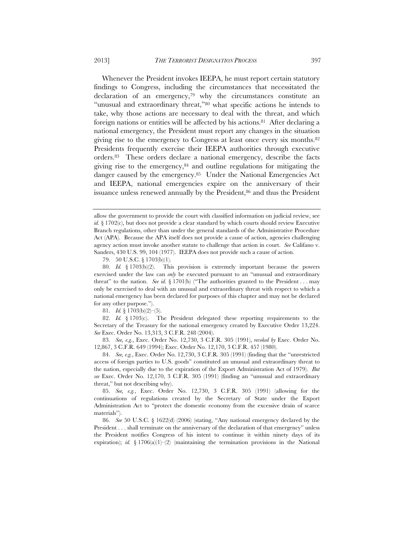Whenever the President invokes IEEPA, he must report certain statutory findings to Congress, including the circumstances that necessitated the declaration of an emergency,<sup>79</sup> why the circumstances constitute an "unusual and extraordinary threat,"80 what specific actions he intends to take, why those actions are necessary to deal with the threat, and which foreign nations or entities will be affected by his actions.81 After declaring a national emergency, the President must report any changes in the situation giving rise to the emergency to Congress at least once every six months.82 Presidents frequently exercise their IEEPA authorities through executive orders.83 These orders declare a national emergency, describe the facts giving rise to the emergency, $84$  and outline regulations for mitigating the danger caused by the emergency.<sup>85</sup> Under the National Emergencies Act and IEEPA, national emergencies expire on the anniversary of their issuance unless renewed annually by the President,<sup>86</sup> and thus the President

79. 50 U.S.C. § 1703(b)(1).

81. *Id.* § 1703(b)(2)–(5).

 82. *Id.* § 1703(c). The President delegated these reporting requirements to the Secretary of the Treasury for the national emergency created by Executive Order 13,224. *See* Exec. Order No. 13,313, 3 C.F.R. 248 (2004).

 83. *See, e.g.*, Exec. Order No. 12,730, 3 C.F.R. 305 (1991), *revoked by* Exec. Order No. 12,867, 3 C.F.R. 649 (1994); Exec. Order No. 12,170, 3 C.F.R. 457 (1980).

 84. *See, e.g.*, Exec. Order No. 12,730, 3 C.F.R. 305 (1991) (finding that the "unrestricted access of foreign parties to U.S. goods" constituted an unusual and extraordinary threat to the nation, especially due to the expiration of the Export Administration Act of 1979). *But see* Exec. Order No. 12,170, 3 C.F.R. 305 (1991) (finding an "unusual and extraordinary threat," but not describing why).

 85. *See, e.g.*, Exec. Order No. 12,730, 3 C.F.R. 305 (1991) (allowing for the continuations of regulations created by the Secretary of State under the Export Administration Act to "protect the domestic economy from the excessive drain of scarce materials").

 86. *See* 50 U.S.C. § 1622(d) (2006) (stating, "Any national emergency declared by the President . . . shall terminate on the anniversary of the declaration of that emergency" unless the President notifies Congress of his intent to continue it within ninety days of its expiration); *id.* § 1706(a)(1)–(2) (maintaining the termination provisions in the National

allow the government to provide the court with classified information on judicial review, see *id.* § 1702(c), but does not provide a clear standard by which courts should review Executive Branch regulations, other than under the general standards of the Administrative Procedure Act (APA). Because the APA itself does not provide a cause of action, agencies challenging agency action must invoke another statute to challenge that action in court. *See* Califano v. Sanders, 430 U.S. 99, 104 (1977). IEEPA does not provide such a cause of action.

 <sup>80.</sup> *Id.* § 1703(b)(2). This provision is extremely important because the powers exercised under the law can *only* be executed pursuant to an "unusual and extraordinary threat" to the nation. *See id.*  $\S 1701(b)$  ("The authorities granted to the President . . . may only be exercised to deal with an unusual and extraordinary threat with respect to which a national emergency has been declared for purposes of this chapter and may not be declared for any other purpose.").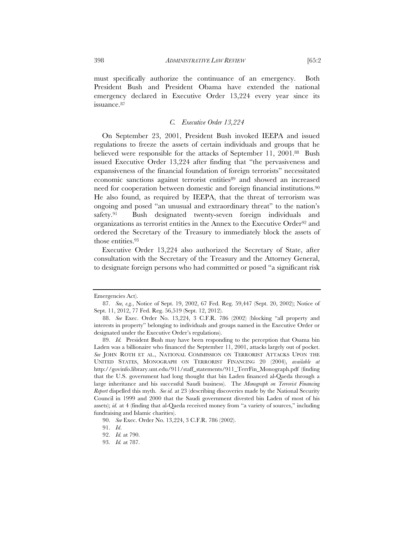must specifically authorize the continuance of an emergency. Both President Bush and President Obama have extended the national emergency declared in Executive Order 13,224 every year since its

# *C. Executive Order 13,224*

On September 23, 2001, President Bush invoked IEEPA and issued regulations to freeze the assets of certain individuals and groups that he believed were responsible for the attacks of September 11, 2001.88 Bush issued Executive Order 13,224 after finding that "the pervasiveness and expansiveness of the financial foundation of foreign terrorists" necessitated economic sanctions against terrorist entities89 and showed an increased need for cooperation between domestic and foreign financial institutions.<sup>90</sup> He also found, as required by IEEPA, that the threat of terrorism was ongoing and posed "an unusual and extraordinary threat" to the nation's safety.<sup>91</sup> Bush designated twenty-seven foreign individuals and organizations as terrorist entities in the Annex to the Executive Order92 and ordered the Secretary of the Treasury to immediately block the assets of those entities.<sup>93</sup>

Executive Order 13,224 also authorized the Secretary of State, after consultation with the Secretary of the Treasury and the Attorney General, to designate foreign persons who had committed or posed "a significant risk

issuance.87

Emergencies Act).

 <sup>87.</sup> *See, e.g.*, Notice of Sept. 19, 2002, 67 Fed. Reg. 59,447 (Sept. 20, 2002); Notice of Sept. 11, 2012, 77 Fed. Reg. 56,519 (Sept. 12, 2012).

 <sup>88.</sup> *See* Exec. Order No. 13,224, 3 C.F.R. 786 (2002) (blocking "all property and interests in property" belonging to individuals and groups named in the Executive Order or designated under the Executive Order's regulations).

 <sup>89.</sup> *Id.* President Bush may have been responding to the perception that Osama bin Laden was a billionaire who financed the September 11, 2001, attacks largely out of pocket. *See* JOHN ROTH ET AL., NATIONAL COMMISSION ON TERRORIST ATTACKS UPON THE UNITED STATES, MONOGRAPH ON TERRORIST FINANCING 20 (2004), *available at*  http://govinfo.library.unt.edu/911/staff\_statements/911\_TerrFin\_Monograph.pdf (finding that the U.S. government had long thought that bin Laden financed al-Qaeda through a large inheritance and his successful Saudi business). The *Monograph on Terrorist Financing Report* dispelled this myth. *See id.* at 23 (describing discoveries made by the National Security Council in 1999 and 2000 that the Saudi government divested bin Laden of most of his assets); *id.* at 4 (finding that al-Qaeda received money from "a variety of sources," including fundraising and Islamic charities).

 <sup>90.</sup> *See* Exec. Order No. 13,224, 3 C.F.R. 786 (2002).

 <sup>91.</sup> *Id*.

 <sup>92.</sup> *Id.* at 790.

 <sup>93.</sup> *Id.* at 787.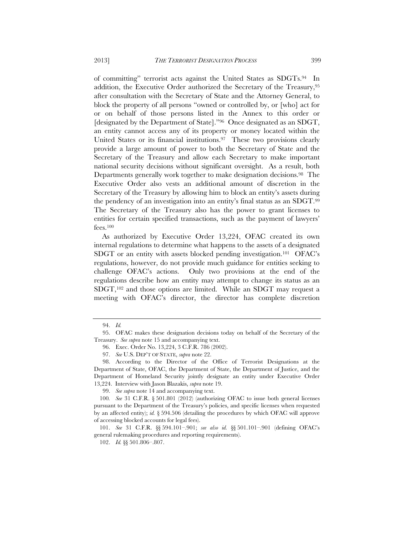of committing" terrorist acts against the United States as SDGTs.94 In

addition, the Executive Order authorized the Secretary of the Treasury,<sup>95</sup> after consultation with the Secretary of State and the Attorney General, to block the property of all persons "owned or controlled by, or [who] act for or on behalf of those persons listed in the Annex to this order or [designated by the Department of State]."96 Once designated as an SDGT, an entity cannot access any of its property or money located within the United States or its financial institutions.<sup>97</sup> These two provisions clearly provide a large amount of power to both the Secretary of State and the Secretary of the Treasury and allow each Secretary to make important national security decisions without significant oversight. As a result, both Departments generally work together to make designation decisions.<sup>98</sup> The Executive Order also vests an additional amount of discretion in the Secretary of the Treasury by allowing him to block an entity's assets during the pendency of an investigation into an entity's final status as an SDGT.99 The Secretary of the Treasury also has the power to grant licenses to entities for certain specified transactions, such as the payment of lawyers' fees.100

As authorized by Executive Order 13,224, OFAC created its own internal regulations to determine what happens to the assets of a designated SDGT or an entity with assets blocked pending investigation.101 OFAC's regulations, however, do not provide much guidance for entities seeking to challenge OFAC's actions. Only two provisions at the end of the regulations describe how an entity may attempt to change its status as an SDGT,102 and those options are limited. While an SDGT may request a meeting with OFAC's director, the director has complete discretion

 <sup>94.</sup> *Id.*

 <sup>95.</sup> OFAC makes these designation decisions today on behalf of the Secretary of the Treasury. *See supra* note 15 and accompanying text.

 <sup>96.</sup> Exec. Order No. 13,224, 3 C.F.R. 786 (2002).

 <sup>97.</sup> *See* U.S. DEP'T OF STATE, *supra* note 22.

 <sup>98.</sup> According to the Director of the Office of Terrorist Designations at the Department of State, OFAC, the Department of State, the Department of Justice, and the Department of Homeland Security jointly designate an entity under Executive Order 13,224. Interview with Jason Blazakis, *supra* note 19.

 <sup>99.</sup> *See supra* note 14 and accompanying text.

<sup>100</sup>*. See* 31 C.F.R. § 501.801 (2012) (authorizing OFAC to issue both general licenses pursuant to the Department of the Treasury's policies, and specific licenses when requested by an affected entity); *id.* § 594.506 (detailing the procedures by which OFAC will approve of accessing blocked accounts for legal fees).

 <sup>101.</sup> *See* 31 C.F.R. §§ 594.101–.901; *see also id.* §§ 501.101–.901 (defining OFAC's general rulemaking procedures and reporting requirements).

 <sup>102.</sup> *Id.* §§ 501.806–.807.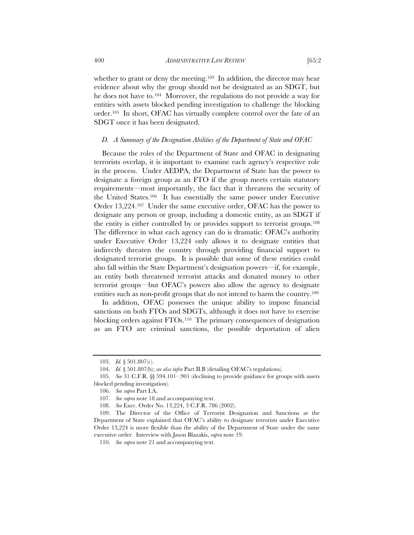whether to grant or deny the meeting.<sup>103</sup> In addition, the director may hear evidence about why the group should not be designated as an SDGT, but he does not have to.104 Moreover, the regulations do not provide a way for entities with assets blocked pending investigation to challenge the blocking order.105 In short, OFAC has virtually complete control over the fate of an SDGT once it has been designated.

#### *D. A Summary of the Designation Abilities of the Department of State and OFAC*

Because the roles of the Department of State and OFAC in designating terrorists overlap, it is important to examine each agency's respective role in the process. Under AEDPA, the Department of State has the power to designate a foreign group as an FTO if the group meets certain statutory requirements—most importantly, the fact that it threatens the security of the United States.106 It has essentially the same power under Executive Order 13,224.107 Under the same executive order, OFAC has the power to designate any person or group, including a domestic entity, as an SDGT if the entity is either controlled by or provides support to terrorist groups.108 The difference in what each agency can do is dramatic: OFAC's authority under Executive Order 13,224 only allows it to designate entities that indirectly threaten the country through providing financial support to designated terrorist groups. It is possible that some of these entities could also fall within the State Department's designation powers—if, for example, an entity both threatened terrorist attacks and donated money to other terrorist groups—but OFAC's powers also allow the agency to designate entities such as non-profit groups that do not intend to harm the country.109

In addition, OFAC possesses the unique ability to impose financial sanctions on both FTOs and SDGTs, although it does not have to exercise blocking orders against FTOs.110 The primary consequences of designation as an FTO are criminal sanctions, the possible deportation of alien

 <sup>103.</sup> *Id.* § 501.807(c).

 <sup>104.</sup> *Id.* § 501.807(b); *see also infra* Part II.B (detailing OFAC's regulations).

 <sup>105.</sup> *See* 31 C.F.R. §§ 594.101–.901 (declining to provide guidance for groups with assets blocked pending investigation).

 <sup>106.</sup> *See supra* Part I.A.

 <sup>107.</sup> *See supra* note 18 and accompanying text.

 <sup>108.</sup> *See* Exec. Order No. 13,224, 3 C.F.R. 786 (2002).

 <sup>109.</sup> The Director of the Office of Terrorist Designation and Sanctions at the Department of State explained that OFAC's ability to designate terrorists under Executive Order 13,224 is more flexible than the ability of the Department of State under the same executive order. Interview with Jason Blazakis, *supra* note 19.

 <sup>110.</sup> *See supra* note 21 and accompanying text.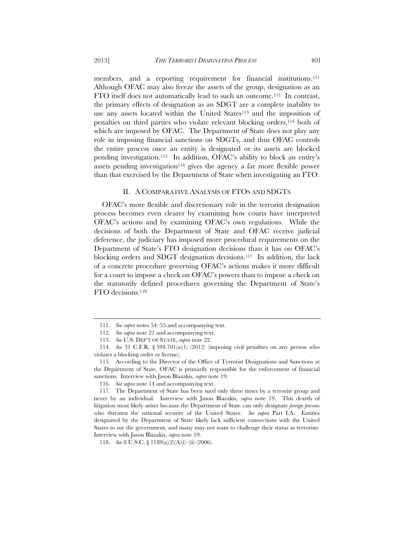members, and a reporting requirement for financial institutions.111 Although OFAC may also freeze the assets of the group, designation as an FTO itself does not automatically lead to such an outcome.112 In contrast, the primary effects of designation as an SDGT are a complete inability to use any assets located within the United States<sup>113</sup> and the imposition of penalties on third parties who violate relevant blocking orders,<sup>114</sup> both of which are imposed by OFAC. The Department of State does not play any role in imposing financial sanctions on SDGTs, and thus OFAC controls the entire process once an entity is designated or its assets are blocked pending investigation.115 In addition, OFAC's ability to block an entity's assets pending investigation<sup>116</sup> gives the agency a far more flexible power than that exercised by the Department of State when investigating an FTO.

#### II. A COMPARATIVE ANALYSIS OF FTOS AND SDGTS

OFAC's more flexible and discretionary role in the terrorist designation process becomes even clearer by examining how courts have interpreted OFAC's actions and by examining OFAC's own regulations. While the decisions of both the Department of State and OFAC receive judicial deference, the judiciary has imposed more procedural requirements on the Department of State's FTO designation decisions than it has on OFAC's blocking orders and SDGT designation decisions.117 In addition, the lack of a concrete procedure governing OFAC's actions makes it more difficult for a court to impose a check on OFAC's powers than to impose a check on the statutorily defined procedures governing the Department of State's FTO decisions.118

 <sup>111.</sup> *See supra* notes 54–55 and accompanying text.

 <sup>112.</sup> *See supra* note 21 and accompanying text.

 <sup>113.</sup> *See* U.S. DEP'T OF STATE, *supra* note 22.

 <sup>114.</sup> *See* 31 C.F.R. § 594.701(a)(1) (2012) (imposing civil penalties on any person who violates a blocking order or license).

 <sup>115.</sup> According to the Director of the Office of Terrorist Designations and Sanctions at the Department of State, OFAC is primarily responsible for the enforcement of financial sanctions. Interview with Jason Blazakis, *supra* note 19.

 <sup>116.</sup> *See supra* note 14 and accompanying text.

 <sup>117.</sup> The Department of State has been sued only three times by a terrorist group and never by an individual. Interview with Jason Blazakis, *supra* note 19. This dearth of litigation most likely arises because the Department of State can only designate *foreign persons*  who threaten the national security of the United States. *See supra* Part I.A. Entities designated by the Department of State likely lack sufficient connections with the United States to sue the government, and many may not want to challenge their status as terrorists. Interview with Jason Blazakis, *supra* note 19.

 <sup>118.</sup> *See* 8 U.S.C. § 1189(a)(2)(A)(i)–(ii) (2006).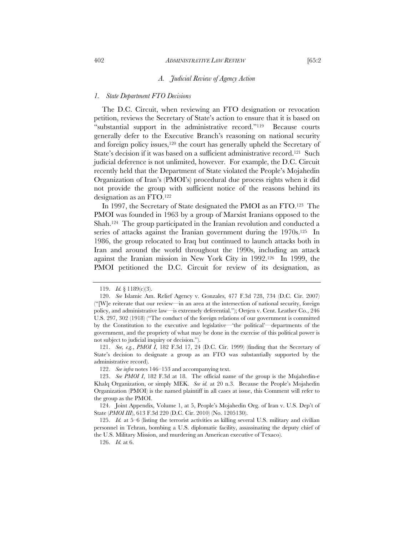#### *A. Judicial Review of Agency Action*

#### *1. State Department FTO Decisions*

The D.C. Circuit, when reviewing an FTO designation or revocation petition, reviews the Secretary of State's action to ensure that it is based on "substantial support in the administrative record."119 Because courts generally defer to the Executive Branch's reasoning on national security and foreign policy issues,<sup>120</sup> the court has generally upheld the Secretary of State's decision if it was based on a sufficient administrative record.121 Such judicial deference is not unlimited, however. For example, the D.C. Circuit recently held that the Department of State violated the People's Mojahedin Organization of Iran's (PMOI's) procedural due process rights when it did not provide the group with sufficient notice of the reasons behind its designation as an FTO.122

In 1997, the Secretary of State designated the PMOI as an FTO.123 The PMOI was founded in 1963 by a group of Marxist Iranians opposed to the Shah.124 The group participated in the Iranian revolution and conducted a series of attacks against the Iranian government during the 1970s.<sup>125</sup> In 1986, the group relocated to Iraq but continued to launch attacks both in Iran and around the world throughout the 1990s, including an attack against the Iranian mission in New York City in 1992.126 In 1999, the PMOI petitioned the D.C. Circuit for review of its designation, as

 <sup>119.</sup> *Id.* § 1189(c)(3).

 <sup>120.</sup> *See* Islamic Am. Relief Agency v. Gonzales, 477 F.3d 728, 734 (D.C. Cir. 2007) ("[W]e reiterate that our review—in an area at the intersection of national security, foreign policy, and administrative law—is extremely deferential."); Oetjen v. Cent. Leather Co., 246 U.S. 297, 302 (1918) ("The conduct of the foreign relations of our government is committed by the Constitution to the executive and legislative—'the political'—departments of the government, and the propriety of what may be done in the exercise of this political power is not subject to judicial inquiry or decision.").

 <sup>121.</sup> *See, e.g.*, *PMOI I*, 182 F.3d 17, 24 (D.C. Cir. 1999) (finding that the Secretary of State's decision to designate a group as an FTO was substantially supported by the administrative record).

 <sup>122.</sup> *See infra* notes 146–153 and accompanying text.

 <sup>123.</sup> *See PMOI I*, 182 F.3d at 18. The official name of the group is the Mujahedin-e Khalq Organization, or simply MEK. *See id.* at 20 n.3. Because the People's Mojahedin Organization (PMOI) is the named plaintiff in all cases at issue, this Comment will refer to the group as the PMOI.

 <sup>124.</sup> Joint Appendix, Volume 1, at 5, People's Mojahedin Org. of Iran v. U.S. Dep't of State (*PMOI III*), 613 F.3d 220 (D.C. Cir. 2010) (No. 1205130).

 <sup>125.</sup> *Id.* at 5–6 (listing the terrorist activities as killing several U.S. military and civilian personnel in Tehran, bombing a U.S. diplomatic facility, assassinating the deputy chief of the U.S. Military Mission, and murdering an American executive of Texaco).

 <sup>126.</sup> *Id.* at 6.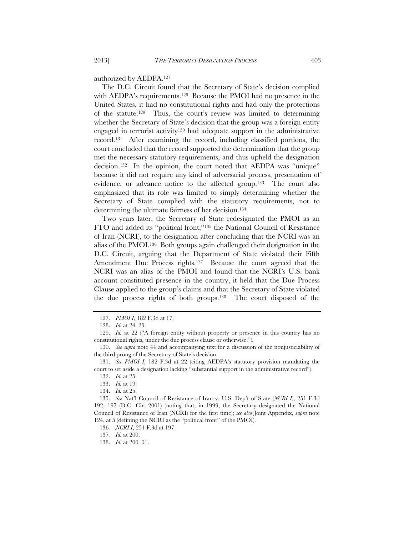authorized by AEDPA.127

The D.C. Circuit found that the Secretary of State's decision complied with AEDPA's requirements.<sup>128</sup> Because the PMOI had no presence in the United States, it had no constitutional rights and had only the protections of the statute.129 Thus, the court's review was limited to determining whether the Secretary of State's decision that the group was a foreign entity engaged in terrorist activity130 had adequate support in the administrative record.131 After examining the record, including classified portions, the court concluded that the record supported the determination that the group met the necessary statutory requirements, and thus upheld the designation decision.<sup>132</sup> In the opinion, the court noted that AEDPA was "unique" because it did not require any kind of adversarial process, presentation of evidence, or advance notice to the affected group.133 The court also emphasized that its role was limited to simply determining whether the Secretary of State complied with the statutory requirements, not to determining the ultimate fairness of her decision.134

Two years later, the Secretary of State redesignated the PMOI as an FTO and added its "political front,"135 the National Council of Resistance of Iran (NCRI), to the designation after concluding that the NCRI was an alias of the PMOI.136 Both groups again challenged their designation in the D.C. Circuit, arguing that the Department of State violated their Fifth Amendment Due Process rights.<sup>137</sup> Because the court agreed that the NCRI was an alias of the PMOI and found that the NCRI's U.S. bank account constituted presence in the country, it held that the Due Process Clause applied to the group's claims and that the Secretary of State violated the due process rights of both groups.138 The court disposed of the

 <sup>127.</sup> *PMOI I*, 182 F.3d at 17.

 <sup>128.</sup> *Id.* at 24–25.

 <sup>129.</sup> *Id.* at 22 ("A foreign entity without property or presence in this country has no constitutional rights, under the due process clause or otherwise.").

 <sup>130.</sup> *See supra* note 44 and accompanying text for a discussion of the nonjusticiability of the third prong of the Secretary of State's decision.

 <sup>131.</sup> *See PMOI I*, 182 F.3d at 22 (citing AEDPA's statutory provision mandating the court to set aside a designation lacking "substantial support in the administrative record").

 <sup>132.</sup> *Id.* at 25.

 <sup>133.</sup> *Id.* at 19.

 <sup>134.</sup> *Id.* at 25.

 <sup>135.</sup> *See* Nat'l Council of Resistance of Iran v. U.S. Dep't of State (*NCRI I*), 251 F.3d 192, 197 (D.C. Cir. 2001) (noting that, in 1999, the Secretary designated the National Council of Resistance of Iran (NCRI) for the first time); *see also* Joint Appendix, *supra* note 124, at 5 (defining the NCRI as the "political front" of the PMOI).

<sup>136</sup>*. NCRI I*, 251 F.3d at 197.

<sup>137</sup>*. Id.* at 200.

 <sup>138.</sup> *Id.* at 200–01.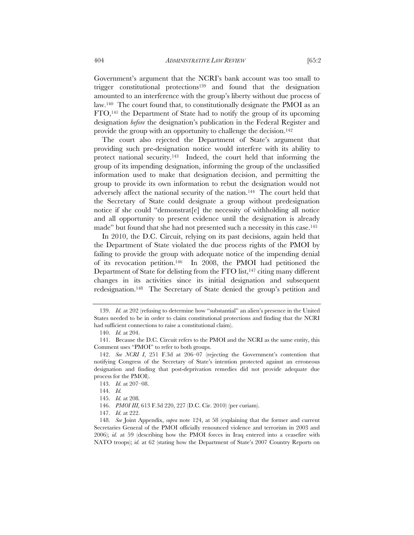Government's argument that the NCRI's bank account was too small to trigger constitutional protections139 and found that the designation amounted to an interference with the group's liberty without due process of law.140 The court found that, to constitutionally designate the PMOI as an FTO,141 the Department of State had to notify the group of its upcoming designation *before* the designation's publication in the Federal Register and provide the group with an opportunity to challenge the decision.142

The court also rejected the Department of State's argument that providing such pre-designation notice would interfere with its ability to protect national security.143 Indeed, the court held that informing the group of its impending designation, informing the group of the unclassified information used to make that designation decision, and permitting the group to provide its own information to rebut the designation would not adversely affect the national security of the nation.144 The court held that the Secretary of State could designate a group without predesignation notice if she could "demonstrat[e] the necessity of withholding all notice and all opportunity to present evidence until the designation is already made" but found that she had not presented such a necessity in this case.<sup>145</sup>

In 2010, the D.C. Circuit, relying on its past decisions, again held that the Department of State violated the due process rights of the PMOI by failing to provide the group with adequate notice of the impending denial of its revocation petition.146 In 2008, the PMOI had petitioned the Department of State for delisting from the FTO list,<sup>147</sup> citing many different changes in its activities since its initial designation and subsequent redesignation.148 The Secretary of State denied the group's petition and

 <sup>139.</sup> *Id.* at 202 (refusing to determine how "substantial" an alien's presence in the United States needed to be in order to claim constitutional protections and finding that the NCRI had sufficient connections to raise a constitutional claim).

 <sup>140.</sup> *Id.* at 204.

 <sup>141.</sup> Because the D.C. Circuit refers to the PMOI and the NCRI as the same entity, this Comment uses "PMOI" to refer to both groups.

 <sup>142.</sup> *See NCRI I*, 251 F.3d at 206–07 (rejecting the Government's contention that notifying Congress of the Secretary of State's intention protected against an erroneous designation and finding that post-deprivation remedies did not provide adequate due process for the PMOI).

 <sup>143.</sup> *Id.* at 207–08.

 <sup>144.</sup> *Id.*

 <sup>145.</sup> *Id.* at 208*.*

 <sup>146.</sup> *PMOI III*, 613 F.3d 220, 227 (D.C. Cir. 2010) (per curiam).

 <sup>147.</sup> *Id.* at 222.

 <sup>148.</sup> *See* Joint Appendix, *supra* note 124, at 58 (explaining that the former and current Secretaries General of the PMOI officially renounced violence and terrorism in 2003 and 2006); *id.* at 59 (describing how the PMOI forces in Iraq entered into a ceasefire with NATO troops); *id.* at 62 (stating how the Department of State's 2007 Country Reports on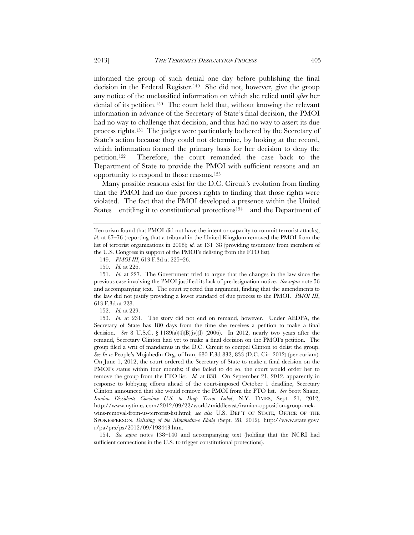decision in the Federal Register.149 She did not, however, give the group any notice of the unclassified information on which she relied until *after* her denial of its petition.150 The court held that, without knowing the relevant information in advance of the Secretary of State's final decision, the PMOI had no way to challenge that decision, and thus had no way to assert its due process rights.151 The judges were particularly bothered by the Secretary of State's action because they could not determine, by looking at the record, which information formed the primary basis for her decision to deny the petition.152 Therefore, the court remanded the case back to the Department of State to provide the PMOI with sufficient reasons and an opportunity to respond to those reasons.153

Many possible reasons exist for the D.C. Circuit's evolution from finding that the PMOI had no due process rights to finding that those rights were violated. The fact that the PMOI developed a presence within the United States—entitling it to constitutional protections154—and the Department of

152. *Id.* at 229.

 153. *Id.* at 231. The story did not end on remand, however. Under AEDPA, the Secretary of State has 180 days from the time she receives a petition to make a final decision. *See* 8 U.S.C. § 1189(a)(4)(B)(iv)(I) (2006). In 2012, nearly two years after the remand, Secretary Clinton had yet to make a final decision on the PMOI's petition. The group filed a writ of mandamus in the D.C. Circuit to compel Clinton to delist the group. *See In re* People's Mojahedin Org. of Iran, 680 F.3d 832, 833 (D.C. Cir. 2012) (per curiam). On June 1, 2012, the court ordered the Secretary of State to make a final decision on the PMOI's status within four months; if she failed to do so, the court would order her to remove the group from the FTO list. *Id.* at 838. On September 21, 2012, apparently in response to lobbying efforts ahead of the court-imposed October 1 deadline, Secretary Clinton announced that she would remove the PMOI from the FTO list. *See* Scott Shane, *Iranian Dissidents Convince U.S. to Drop Terror Label*, N.Y. TIMES, Sept. 21, 2012, http://www.nytimes.com/2012/09/22/world/middleeast/iranian-opposition-group-mekwins-removal-from-us-terrorist-list.html; *see also* U.S. DEP'T OF STATE, OFFICE OF THE SPOKESPERSON, *Delisting of the Mujahedin-e Khalq* (Sept. 28, 2012), http://www.state.gov/ r/pa/prs/ps/2012/09/198443.htm.

 154. *See supra* notes 138–140 and accompanying text (holding that the NCRI had sufficient connections in the U.S. to trigger constitutional protections).

Terrorism found that PMOI did not have the intent or capacity to commit terrorist attacks); *id.* at 67–76 (reporting that a tribunal in the United Kingdom removed the PMOI from the list of terrorist organizations in 2008); *id.* at 131–38 (providing testimony from members of the U.S. Congress in support of the PMOI's delisting from the FTO list).

 <sup>149.</sup> *PMOI III*, 613 F.3d at 225–26.

 <sup>150.</sup> *Id.* at 226.

 <sup>151.</sup> *Id.* at 227. The Government tried to argue that the changes in the law since the previous case involving the PMOI justified its lack of predesignation notice. *See supra* note 56 and accompanying text. The court rejected this argument, finding that the amendments to the law did not justify providing a lower standard of due process to the PMOI. *PMOI III*, 613 F.3d at 228.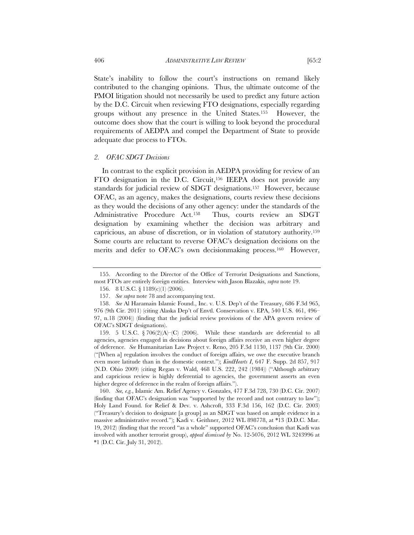State's inability to follow the court's instructions on remand likely contributed to the changing opinions. Thus, the ultimate outcome of the PMOI litigation should not necessarily be used to predict any future action by the D.C. Circuit when reviewing FTO designations, especially regarding groups without any presence in the United States.155 However, the outcome does show that the court is willing to look beyond the procedural requirements of AEDPA and compel the Department of State to provide adequate due process to FTOs.

#### *2. OFAC SDGT Decisions*

In contrast to the explicit provision in AEDPA providing for review of an FTO designation in the D.C. Circuit,156 IEEPA does not provide any standards for judicial review of SDGT designations.157 However, because OFAC, as an agency, makes the designations, courts review these decisions as they would the decisions of any other agency: under the standards of the Administrative Procedure Act.158 Thus, courts review an SDGT designation by examining whether the decision was arbitrary and capricious, an abuse of discretion, or in violation of statutory authority.159 Some courts are reluctant to reverse OFAC's designation decisions on the merits and defer to OFAC's own decisionmaking process.<sup>160</sup> However,

 <sup>155.</sup> According to the Director of the Office of Terrorist Designations and Sanctions, most FTOs are entirely foreign entities. Interview with Jason Blazakis, *supra* note 19.

 <sup>156. 8</sup> U.S.C. § 1189(c)(1) (2006).

 <sup>157.</sup> *See supra* note 78 and accompanying text.

 <sup>158.</sup> *See* Al Haramain Islamic Found., Inc. v. U.S. Dep't of the Treasury, 686 F.3d 965, 976 (9th Cir. 2011) (citing Alaska Dep't of Envtl. Conservation v. EPA, 540 U.S. 461, 496– 97, n.18 (2004)) (finding that the judicial review provisions of the APA govern review of OFAC's SDGT designations).

<sup>159. 5</sup> U.S.C.  $\sqrt{706(2)(A)}$  (C) (2006). While these standards are deferential to all agencies, agencies engaged in decisions about foreign affairs receive an even higher degree of deference. *See* Humanitarian Law Project v. Reno, 205 F.3d 1130, 1137 (9th Cir. 2000) ("[When a] regulation involves the conduct of foreign affairs, we owe the executive branch even more latitude than in the domestic context."); *KindHearts I*, 647 F. Supp. 2d 857, 917 (N.D. Ohio 2009) (citing Regan v. Wald, 468 U.S. 222, 242 (1984)) ("Although arbitrary and capricious review is highly deferential to agencies, the government asserts an even higher degree of deference in the realm of foreign affairs.").

 <sup>160.</sup> *See, e.g.*, Islamic Am. Relief Agency v. Gonzales, 477 F.3d 728, 730 (D.C. Cir. 2007) (finding that OFAC's designation was "supported by the record and not contrary to law"); Holy Land Found. for Relief & Dev. v. Ashcroft, 333 F.3d 156, 162 (D.C. Cir. 2003) ("Treasury's decision to designate [a group] as an SDGT was based on ample evidence in a massive administrative record."); Kadi v. Geithner, 2012 WL 898778, at \*13 (D.D.C. Mar. 19, 2012) (finding that the record "as a whole" supported OFAC's conclusion that Kadi was involved with another terrorist group), *appeal dismissed by* No. 12-5076, 2012 WL 3243996 at \*1 (D.C. Cir. July 31, 2012).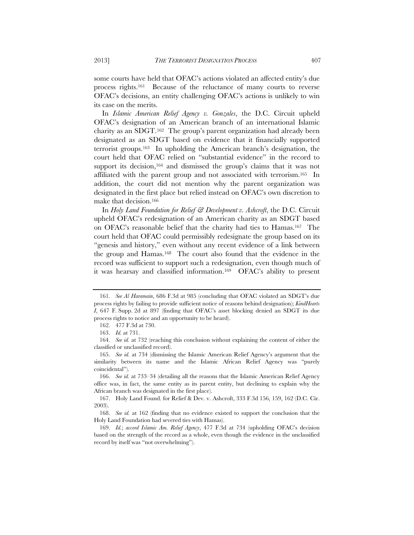some courts have held that OFAC's actions violated an affected entity's due process rights.161 Because of the reluctance of many courts to reverse OFAC's decisions, an entity challenging OFAC's actions is unlikely to win its case on the merits.

In *Islamic American Relief Agency v. Gonzales*, the D.C. Circuit upheld OFAC's designation of an American branch of an international Islamic charity as an SDGT.162 The group's parent organization had already been designated as an SDGT based on evidence that it financially supported terrorist groups.163 In upholding the American branch's designation, the court held that OFAC relied on "substantial evidence" in the record to support its decision,<sup>164</sup> and dismissed the group's claims that it was not affiliated with the parent group and not associated with terrorism.165 In addition, the court did not mention why the parent organization was designated in the first place but relied instead on OFAC's own discretion to make that decision.166

In *Holy Land Foundation for Relief & Development v. Ashcroft*, the D.C. Circuit upheld OFAC's redesignation of an American charity as an SDGT based on OFAC's reasonable belief that the charity had ties to Hamas.167 The court held that OFAC could permissibly redesignate the group based on its "genesis and history," even without any recent evidence of a link between the group and Hamas.168 The court also found that the evidence in the record was sufficient to support such a redesignation, even though much of it was hearsay and classified information.169 OFAC's ability to present

<sup>161</sup>*. See Al Haramain*, 686 F.3d at 985 (concluding that OFAC violated an SDGT's due process rights by failing to provide sufficient notice of reasons behind designation); *KindHearts I*, 647 F. Supp. 2d at 897 (finding that OFAC's asset blocking denied an SDGT its due process rights to notice and an opportunity to be heard).

 <sup>162. 477</sup> F.3d at 730.

 <sup>163.</sup> *Id.* at 731.

 <sup>164.</sup> *See id.* at 732 (reaching this conclusion without explaining the content of either the classified or unclassified record).

 <sup>165.</sup> *See id.* at 734 (dismissing the Islamic American Relief Agency's argument that the similarity between its name and the Islamic African Relief Agency was "purely coincidental").

 <sup>166.</sup> *See id.* at 733–34 (detailing all the reasons that the Islamic American Relief Agency office was, in fact, the same entity as its parent entity, but declining to explain why the African branch was designated in the first place).

 <sup>167.</sup> Holy Land Found. for Relief & Dev. v. Ashcroft, 333 F.3d 156, 159, 162 (D.C. Cir. 2003).

 <sup>168.</sup> *See id.* at 162 (finding that no evidence existed to support the conclusion that the Holy Land Foundation had severed ties with Hamas).

 <sup>169.</sup> *Id.*; *accord Islamic Am. Relief Agency*, 477 F.3d at 734 (upholding OFAC's decision based on the strength of the record as a whole, even though the evidence in the unclassified record by itself was "not overwhelming").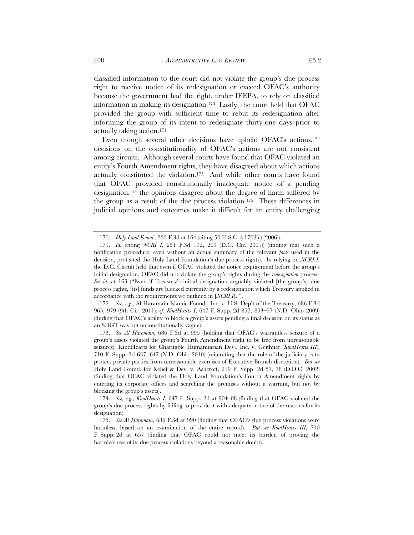classified information to the court did not violate the group's due process right to receive notice of its redesignation or exceed OFAC's authority because the government had the right, under IEEPA, to rely on classified information in making its designation.170 Lastly, the court held that OFAC provided the group with sufficient time to rebut its redesignation after informing the group of its intent to redesignate thirty-one days prior to actually taking action.171

Even though several other decisions have upheld OFAC's actions,<sup>172</sup> decisions on the constitutionality of OFAC's actions are not consistent among circuits. Although several courts have found that OFAC violated an entity's Fourth Amendment rights, they have disagreed about which actions actually constituted the violation.173 And while other courts have found that OFAC provided constitutionally inadequate notice of a pending designation,174 the opinions disagree about the degree of harm suffered by the group as a result of the due process violation.175 These differences in judicial opinions and outcomes make it difficult for an entity challenging

 172. *See, e.g.*, Al Haramain Islamic Found., Inc. v. U.S. Dep't of the Treasury, 686 F.3d 965, 979 (9th Cir. 2011)*; cf. KindHearts I*, 647 F. Supp. 2d 857, 893–97 (N.D. Ohio 2009) (finding that OFAC's ability to block a group's assets pending a final decision on its status as an SDGT was not unconstitutionally vague).

 173. *See Al Haramain*, 686 F.3d at 995 (holding that OFAC's warrantless seizure of a group's assets violated the group's Fourth Amendment right to be free from unreasonable seizures); KindHearts for Charitable Humanitarian Dev., Inc. v. Geithner (*KindHearts III*), 710 F. Supp. 2d 637, 647 (N.D. Ohio 2010) (reiterating that the role of the judiciary is to protect private parties from unreasonable exercises of Executive Branch discretion). *But see* Holy Land Found. for Relief & Dev. v. Ashcroft, 219 F. Supp. 2d 57, 78 (D.D.C. 2002) (finding that OFAC violated the Holy Land Foundation's Fourth Amendment rights by entering its corporate offices and searching the premises without a warrant, but not by blocking the group's assets).

 <sup>170.</sup> *Holy Land Found.*, 333 F.3d at 164 (citing 50 U.S.C. § 1702(c) (2006)).

 <sup>171.</sup> *Id.* (citing *NCRI I*, 251 F.3d 192, 209 (D.C. Cir. 2001)) (finding that such a notification procedure, even without an actual summary of the relevant *facts* used in the decision, protected the Holy Land Foundation's due process rights). In relying on *NCRI I*, the D.C. Circuit held that even if OFAC violated the notice requirement before the group's initial designation, OFAC did not violate the group's rights during the *redesignation* process. *See id.* at 163 ("Even if Treasury's initial designation arguably violated [the group's] due process rights, [its] funds are blocked currently by a redesignation which Treasury applied in accordance with the requirements we outlined in [*NCRI I*].").

 <sup>174.</sup> *See, e.g.*, *KindHearts I*, 647 F. Supp. 2d at 904–08 (finding that OFAC violated the group's due process rights by failing to provide it with adequate notice of the reasons for its designation).

 <sup>175.</sup> *See Al Haramain*, 686 F.3d at 990 (finding that OFAC's due process violations were harmless, based on an examination of the entire record). *But see KindHearts III*, 710 F. Supp. 2d at 657 (finding that OFAC could not meet its burden of proving the harmlessness of its due process violations beyond a reasonable doubt).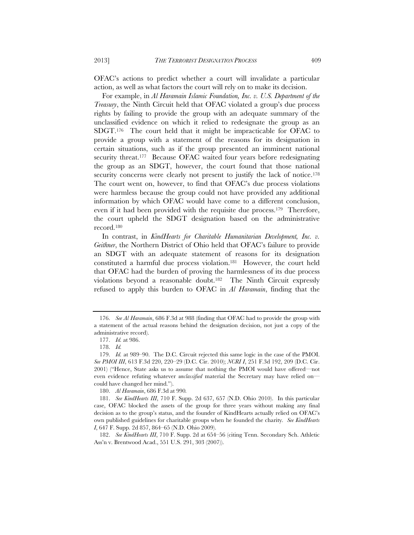OFAC's actions to predict whether a court will invalidate a particular action, as well as what factors the court will rely on to make its decision.

For example, in *Al Haramain Islamic Foundation, Inc. v. U.S. Department of the Treasury*, the Ninth Circuit held that OFAC violated a group's due process rights by failing to provide the group with an adequate summary of the unclassified evidence on which it relied to redesignate the group as an SDGT.176 The court held that it might be impracticable for OFAC to provide a group with a statement of the reasons for its designation in certain situations, such as if the group presented an imminent national security threat.<sup>177</sup> Because OFAC waited four years before redesignating the group as an SDGT, however, the court found that those national security concerns were clearly not present to justify the lack of notice.<sup>178</sup> The court went on, however, to find that OFAC's due process violations were harmless because the group could not have provided any additional information by which OFAC would have come to a different conclusion, even if it had been provided with the requisite due process.179 Therefore, the court upheld the SDGT designation based on the administrative record.180

In contrast, in *KindHearts for Charitable Humanitarian Development*, Inc. v. *Geithner*, the Northern District of Ohio held that OFAC's failure to provide an SDGT with an adequate statement of reasons for its designation constituted a harmful due process violation.181 However, the court held that OFAC had the burden of proving the harmlessness of its due process violations beyond a reasonable doubt.182 The Ninth Circuit expressly refused to apply this burden to OFAC in *Al Haramain*, finding that the

180. *Al Haramain*, 686 F.3d at 990*.*

 <sup>176.</sup> *See Al Haramain*, 686 F.3d at 988 (finding that OFAC had to provide the group with a statement of the actual reasons behind the designation decision, not just a copy of the administrative record).

 <sup>177.</sup> *Id.* at 986.

 <sup>178.</sup> *Id.*

 <sup>179.</sup> *Id.* at 989–90. The D.C. Circuit rejected this same logic in the case of the PMOI. *See PMOI III*, 613 F.3d 220, 220–29 (D.C. Cir. 2010); *NCRI I*, 251 F.3d 192, 209 (D.C. Cir. 2001) ("Hence, State asks us to assume that nothing the PMOI would have offered—not even evidence refuting whatever *unclassified* material the Secretary may have relied on could have changed her mind.").

 <sup>181.</sup> *See KindHearts III*, 710 F. Supp. 2d 637, 657 (N.D. Ohio 2010). In this particular case, OFAC blocked the assets of the group for three years without making any final decision as to the group's status, and the founder of KindHearts actually relied on OFAC's own published guidelines for charitable groups when he founded the charity*. See KindHearts I*, 647 F. Supp. 2d 857, 864–65 (N.D. Ohio 2009).

 <sup>182.</sup> *See KindHearts III*, 710 F. Supp. 2d at 654–56 (citing Tenn. Secondary Sch. Athletic Ass'n v. Brentwood Acad., 551 U.S. 291, 303 (2007)).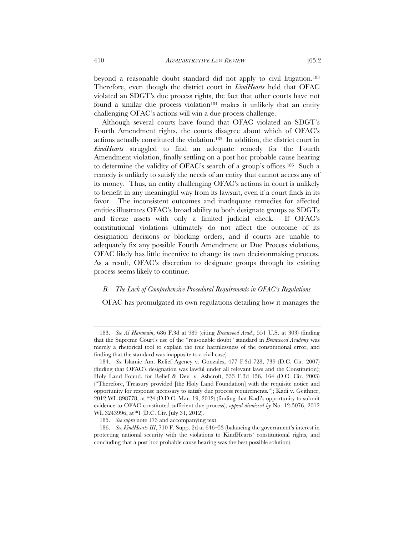beyond a reasonable doubt standard did not apply to civil litigation.183 Therefore, even though the district court in *KindHearts* held that OFAC violated an SDGT's due process rights, the fact that other courts have not found a similar due process violation<sup>184</sup> makes it unlikely that an entity challenging OFAC's actions will win a due process challenge.

Although several courts have found that OFAC violated an SDGT's Fourth Amendment rights, the courts disagree about which of OFAC's actions actually constituted the violation.185 In addition, the district court in *KindHearts* struggled to find an adequate remedy for the Fourth Amendment violation, finally settling on a post hoc probable cause hearing to determine the validity of OFAC's search of a group's offices.186 Such a remedy is unlikely to satisfy the needs of an entity that cannot access any of its money. Thus, an entity challenging OFAC's actions in court is unlikely to benefit in any meaningful way from its lawsuit, even if a court finds in its favor. The inconsistent outcomes and inadequate remedies for affected entities illustrates OFAC's broad ability to both designate groups as SDGTs and freeze assets with only a limited judicial check. If OFAC's constitutional violations ultimately do not affect the outcome of its designation decisions or blocking orders, and if courts are unable to adequately fix any possible Fourth Amendment or Due Process violations, OFAC likely has little incentive to change its own decisionmaking process. As a result, OFAC's discretion to designate groups through its existing process seems likely to continue.

# *B. The Lack of Comprehensive Procedural Requirements in OFAC's Regulations*

OFAC has promulgated its own regulations detailing how it manages the

 <sup>183.</sup> *See Al Haramain*, 686 F.3d at 989 (citing *Brentwood Acad.*, 551 U.S. at 303) (finding that the Supreme Court's use of the "reasonable doubt" standard in *Brentwood Academy* was merely a rhetorical tool to explain the true harmlessness of the constitutional error, and finding that the standard was inapposite to a civil case).

 <sup>184.</sup> *See* Islamic Am. Relief Agency v. Gonzales, 477 F.3d 728, 739 (D.C. Cir. 2007) (finding that OFAC's designation was lawful under all relevant laws and the Constitution); Holy Land Found. for Relief & Dev. v. Ashcroft, 333 F.3d 156, 164 (D.C. Cir. 2003) ("Therefore, Treasury provided [the Holy Land Foundation] with the requisite notice and opportunity for response necessary to satisfy due process requirements."); Kadi v. Geithner, 2012 WL 898778, at \*24 (D.D.C. Mar. 19, 2012) (finding that Kadi's opportunity to submit evidence to OFAC constituted sufficient due process), *appeal dismissed by* No. 12-5076, 2012 WL 3243996, at \*1 (D.C. Cir. July 31, 2012).

 <sup>185.</sup> *See supra* note 173 and accompanying text.

 <sup>186.</sup> *See KindHearts III*, 710 F. Supp. 2d at 646–53 (balancing the government's interest in protecting national security with the violations to KindHearts' constitutional rights, and concluding that a post hoc probable cause hearing was the best possible solution).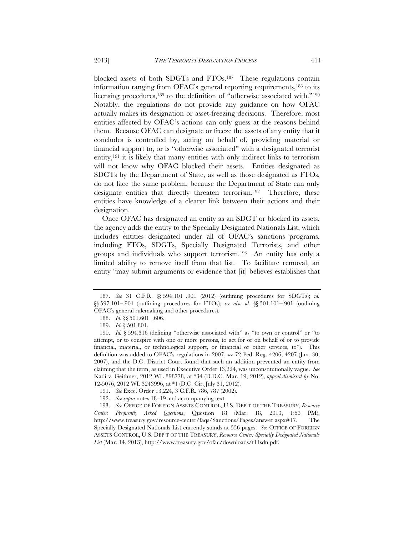blocked assets of both SDGTs and FTOs.187 These regulations contain information ranging from OFAC's general reporting requirements,188 to its licensing procedures,<sup>189</sup> to the definition of "otherwise associated with."<sup>190</sup> Notably, the regulations do not provide any guidance on how OFAC actually makes its designation or asset-freezing decisions. Therefore, most entities affected by OFAC's actions can only guess at the reasons behind them. Because OFAC can designate or freeze the assets of any entity that it concludes is controlled by, acting on behalf of, providing material or financial support to, or is "otherwise associated" with a designated terrorist entity,191 it is likely that many entities with only indirect links to terrorism will not know why OFAC blocked their assets. Entities designated as SDGTs by the Department of State, as well as those designated as FTOs, do not face the same problem, because the Department of State can only designate entities that directly threaten terrorism.<sup>192</sup> Therefore, these entities have knowledge of a clearer link between their actions and their designation.

Once OFAC has designated an entity as an SDGT or blocked its assets, the agency adds the entity to the Specially Designated Nationals List, which includes entities designated under all of OFAC's sanctions programs, including FTOs, SDGTs, Specially Designated Terrorists, and other groups and individuals who support terrorism.193 An entity has only a limited ability to remove itself from that list. To facilitate removal, an entity "may submit arguments or evidence that [it] believes establishes that

 <sup>187.</sup> *See* 31 C.F.R. §§ 594.101–.901 (2012) (outlining procedures for SDGTs); *id.* §§ 597.101–.901 (outlining procedures for FTOs); *see also id.* §§ 501.101–.901 (outlining OFAC's general rulemaking and other procedures).

 <sup>188.</sup> *Id.* §§ 501.601–.606.

 <sup>189.</sup> *Id.* § 501.801.

 <sup>190.</sup> *Id.* § 594.316 (defining "otherwise associated with" as "to own or control" or "to attempt, or to conspire with one or more persons, to act for or on behalf of or to provide financial, material, or technological support, or financial or other services, to"). This definition was added to OFAC's regulations in 2007, *see* 72 Fed. Reg. 4206, 4207 (Jan. 30, 2007), and the D.C. District Court found that such an addition prevented an entity from claiming that the term, as used in Executive Order 13,224, was unconstitutionally vague. *See*  Kadi v. Geithner, 2012 WL 898778, at \*34 (D.D.C. Mar. 19, 2012), *appeal dismissed by* No. 12-5076, 2012 WL 3243996, at \*1 (D.C. Cir. July 31, 2012).

 <sup>191.</sup> *See* Exec. Order 13,224, 3 C.F.R. 786, 787 (2002).

 <sup>192.</sup> *See supra* notes 18–19 and accompanying text.

 <sup>193.</sup> *See* OFFICE OF FOREIGN ASSETS CONTROL, U.S. DEP'T OF THE TREASURY, *Resource Center*: *Frequently Asked Questions*, Question 18 (Mar. 18, 2013, 1:53 PM), http://www.treasury.gov/resource-center/faqs/Sanctions/Pages/answer.aspx#17. The Specially Designated Nationals List currently stands at 556 pages. *See* OFFICE OF FOREIGN ASSETS CONTROL, U.S. DEP'T OF THE TREASURY, *Resource Center: Specially Designated Nationals List* (Mar. 14, 2013), http://www.treasury.gov/ofac/downloads/t11sdn.pdf.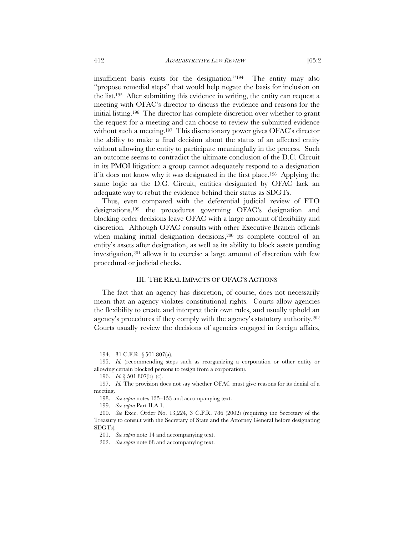insufficient basis exists for the designation."194 The entity may also "propose remedial steps" that would help negate the basis for inclusion on the list.195 After submitting this evidence in writing, the entity can request a meeting with OFAC's director to discuss the evidence and reasons for the initial listing.196 The director has complete discretion over whether to grant the request for a meeting and can choose to review the submitted evidence without such a meeting.<sup>197</sup> This discretionary power gives OFAC's director the ability to make a final decision about the status of an affected entity without allowing the entity to participate meaningfully in the process. Such an outcome seems to contradict the ultimate conclusion of the D.C. Circuit in its PMOI litigation: a group cannot adequately respond to a designation if it does not know why it was designated in the first place.198 Applying the same logic as the D.C. Circuit, entities designated by OFAC lack an adequate way to rebut the evidence behind their status as SDGTs.

Thus, even compared with the deferential judicial review of FTO designations,199 the procedures governing OFAC's designation and blocking order decisions leave OFAC with a large amount of flexibility and discretion. Although OFAC consults with other Executive Branch officials when making initial designation decisions,<sup>200</sup> its complete control of an entity's assets after designation, as well as its ability to block assets pending investigation,201 allows it to exercise a large amount of discretion with few procedural or judicial checks.

#### III. THE REAL IMPACTS OF OFAC'S ACTIONS

The fact that an agency has discretion, of course, does not necessarily mean that an agency violates constitutional rights. Courts allow agencies the flexibility to create and interpret their own rules, and usually uphold an agency's procedures if they comply with the agency's statutory authority.202 Courts usually review the decisions of agencies engaged in foreign affairs,

 <sup>194. 31</sup> C.F.R. § 501.807(a).

 <sup>195.</sup> *Id.* (recommending steps such as reorganizing a corporation or other entity or allowing certain blocked persons to resign from a corporation).

 <sup>196.</sup> *Id.* § 501.807(b)–(c).

 <sup>197.</sup> *Id.* The provision does not say whether OFAC must give reasons for its denial of a meeting.

 <sup>198.</sup> *See supra* notes 135–153 and accompanying text.

 <sup>199.</sup> *See supra* Part II.A.1.

 <sup>200.</sup> *See* Exec. Order No. 13,224, 3 C.F.R. 786 (2002) (requiring the Secretary of the Treasury to consult with the Secretary of State and the Attorney General before designating SDGTs).

 <sup>201.</sup> *See supra* note 14 and accompanying text.

 <sup>202.</sup> *See supra* note 68 and accompanying text.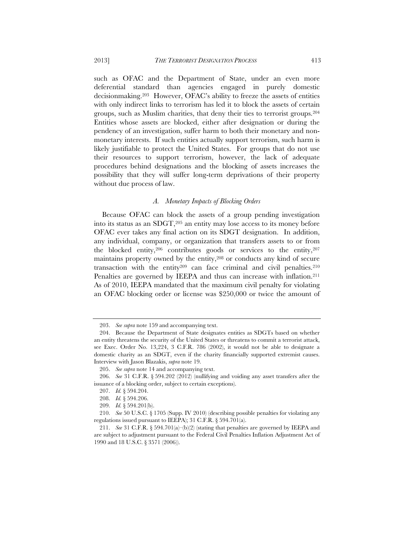such as OFAC and the Department of State, under an even more deferential standard than agencies engaged in purely domestic decisionmaking.203 However, OFAC's ability to freeze the assets of entities with only indirect links to terrorism has led it to block the assets of certain groups, such as Muslim charities, that deny their ties to terrorist groups.204 Entities whose assets are blocked, either after designation or during the pendency of an investigation, suffer harm to both their monetary and nonmonetary interests. If such entities actually support terrorism, such harm is likely justifiable to protect the United States. For groups that do not use their resources to support terrorism, however, the lack of adequate procedures behind designations and the blocking of assets increases the possibility that they will suffer long-term deprivations of their property without due process of law.

#### *A. Monetary Impacts of Blocking Orders*

Because OFAC can block the assets of a group pending investigation into its status as an SDGT,205 an entity may lose access to its money before OFAC ever takes any final action on its SDGT designation. In addition, any individual, company, or organization that transfers assets to or from the blocked entity,206 contributes goods or services to the entity,207 maintains property owned by the entity,208 or conducts any kind of secure transaction with the entity $209$  can face criminal and civil penalties. $210$ Penalties are governed by IEEPA and thus can increase with inflation.<sup>211</sup> As of 2010, IEEPA mandated that the maximum civil penalty for violating an OFAC blocking order or license was \$250,000 or twice the amount of

 <sup>203.</sup> *See supra* note 159 and accompanying text.

 <sup>204.</sup> Because the Department of State designates entities as SDGTs based on whether an entity threatens the security of the United States or threatens to commit a terrorist attack, see Exec. Order No. 13,224, 3 C.F.R. 786 (2002), it would not be able to designate a domestic charity as an SDGT, even if the charity financially supported extremist causes. Interview with Jason Blazakis, *supra* note 19.

 <sup>205.</sup> *See supra* note 14 and accompanying text.

 <sup>206.</sup> *See* 31 C.F.R. § 594.202 (2012) (nullifying and voiding any asset transfers after the issuance of a blocking order, subject to certain exceptions).

 <sup>207.</sup> *Id.* § 594.204.

 <sup>208.</sup> *Id.* § 594.206.

 <sup>209.</sup> *Id.* § 594.201(b).

 <sup>210.</sup> *See* 50 U.S.C. § 1705 (Supp. IV 2010) (describing possible penalties for violating any regulations issued pursuant to IEEPA); 31 C.F.R. § 594.701(a).

<sup>211.</sup> *See* 31 C.F.R.  $\S 594.701(a)–(b)(2)$  (stating that penalties are governed by IEEPA and are subject to adjustment pursuant to the Federal Civil Penalties Inflation Adjustment Act of 1990 and 18 U.S.C. § 3571 (2006)).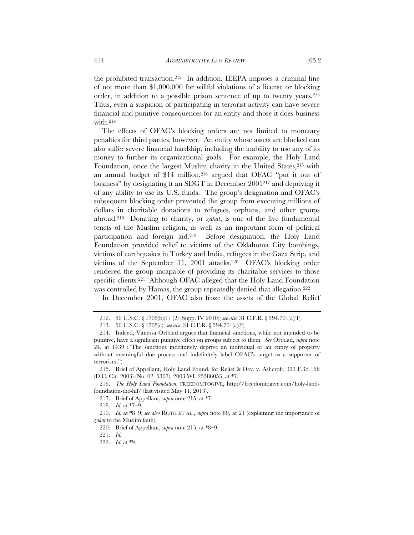the prohibited transaction.212 In addition, IEEPA imposes a criminal fine of not more than \$1,000,000 for willful violations of a license or blocking order, in addition to a possible prison sentence of up to twenty years.213 Thus, even a suspicion of participating in terrorist activity can have severe financial and punitive consequences for an entity and those it does business with.214

The effects of OFAC's blocking orders are not limited to monetary penalties for third parties, however. An entity whose assets are blocked can also suffer severe financial hardship, including the inability to use any of its money to further its organizational goals. For example, the Holy Land Foundation, once the largest Muslim charity in the United States, <sup>215</sup> with an annual budget of \$14 million,<sup>216</sup> argued that OFAC "put it out of business" by designating it an SDGT in December 2001217 and depriving it of any ability to use its U.S. funds. The group's designation and OFAC's subsequent blocking order prevented the group from executing millions of dollars in charitable donations to refugees, orphans, and other groups abroad.218 Donating to charity, or *zakat*, is one of the five fundamental tenets of the Muslim religion, as well as an important form of political participation and foreign aid.219 Before designation, the Holy Land Foundation provided relief to victims of the Oklahoma City bombings, victims of earthquakes in Turkey and India, refugees in the Gaza Strip, and victims of the September 11, 2001 attacks.220 OFAC's blocking order rendered the group incapable of providing its charitable services to those specific clients.<sup>221</sup> Although OFAC alleged that the Holy Land Foundation was controlled by Hamas, the group repeatedly denied that allegation.222

In December 2001, OFAC also froze the assets of the Global Relief

 <sup>212. 50</sup> U.S.C. § 1705(b)(1)–(2) (Supp. IV 2010); *see also* 31 C.F.R. § 594.701(a)(1).

 <sup>213. 50</sup> U.S.C. § 1705(c); *see also* 31 C.F.R. § 594.701(a)(2).

 <sup>214.</sup> Indeed, Vanessa Ortblad argues that financial sanctions, while not intended to be punitive, have a significant punitive effect on groups subject to them. *See* Ortblad, *supra* note 24, at 1439 ("The sanctions indefinitely deprive an individual or an entity of property without meaningful due process and indefinitely label OFAC's target as a supporter of terrorism.").

 <sup>215.</sup> Brief of Appellant, Holy Land Found. for Relief & Dev. v. Ashcroft, 333 F.3d 156 (D.C. Cir. 2003) (No. 02–5307), 2003 WL 25586053, at \*7.

 <sup>216.</sup> *The Holy Land Foundation*, FREEDOMTOGIVE, http://freedomtogive.com/holy-landfoundation-the-hlf/ (last visited May 11, 2013).

 <sup>217.</sup> Brief of Appellant, *supra* note 215, at \*7.

 <sup>218.</sup> *Id.* at \*7–9.

 <sup>219.</sup> *Id.* at \*8–9; *see also* ROTH ET AL., *supra* note 89, at 21 (explaining the importance of *zakat* to the Muslim faith).

 <sup>220.</sup> Brief of Appellant, *supra* note 215, at \*8–9.

 <sup>221.</sup> *Id.*

 <sup>222.</sup> *Id.* at \*9.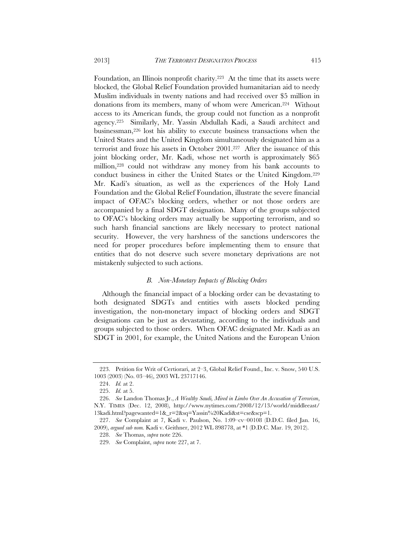Foundation, an Illinois nonprofit charity.223 At the time that its assets were blocked, the Global Relief Foundation provided humanitarian aid to needy Muslim individuals in twenty nations and had received over \$5 million in donations from its members, many of whom were American.224 Without access to its American funds, the group could not function as a nonprofit agency.225 Similarly, Mr. Yassin Abdullah Kadi, a Saudi architect and businessman,226 lost his ability to execute business transactions when the United States and the United Kingdom simultaneously designated him as a terrorist and froze his assets in October 2001.227 After the issuance of this joint blocking order, Mr. Kadi, whose net worth is approximately \$65 million,228 could not withdraw any money from his bank accounts to conduct business in either the United States or the United Kingdom.229 Mr. Kadi's situation, as well as the experiences of the Holy Land Foundation and the Global Relief Foundation, illustrate the severe financial impact of OFAC's blocking orders, whether or not those orders are accompanied by a final SDGT designation. Many of the groups subjected to OFAC's blocking orders may actually be supporting terrorism, and so such harsh financial sanctions are likely necessary to protect national security. However, the very harshness of the sanctions underscores the need for proper procedures before implementing them to ensure that entities that do not deserve such severe monetary deprivations are not mistakenly subjected to such actions.

#### *B. Non-Monetary Impacts of Blocking Orders*

Although the financial impact of a blocking order can be devastating to both designated SDGTs and entities with assets blocked pending investigation, the non-monetary impact of blocking orders and SDGT designations can be just as devastating, according to the individuals and groups subjected to those orders. When OFAC designated Mr. Kadi as an SDGT in 2001, for example, the United Nations and the European Union

 <sup>223.</sup> Petition for Writ of Certiorari, at 2–3, Global Relief Found., Inc. v. Snow, 540 U.S. 1003 (2003) (No. 03–46), 2003 WL 23717146.

 <sup>224.</sup> *Id.* at 2.

 <sup>225.</sup> *Id.* at 5.

 <sup>226.</sup> *See* Landon Thomas Jr., *A Wealthy Saudi, Mired in Limbo Over An Accusation of Terrorism*, N.Y. TIMES (Dec. 12, 2008), http://www.nytimes.com/2008/12/13/world/middleeast/ 13kadi.html?pagewanted=1&\_r=2&sq=Yassin%20Kadi&st=cse&scp=1.

 <sup>227.</sup> *See* Complaint at 7, Kadi v. Paulson, No. 1:09–cv–00108 (D.D.C. filed Jan. 16, 2009), *argued sub nom.* Kadi v. Geithner, 2012 WL 898778, at \*1 (D.D.C. Mar. 19, 2012).

 <sup>228.</sup> *See* Thomas, *supra* note 226.

 <sup>229.</sup> *See* Complaint, *supra* note 227, at 7.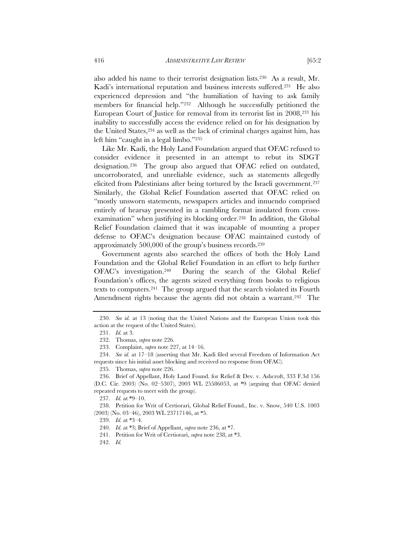also added his name to their terrorist designation lists.230 As a result, Mr. Kadi's international reputation and business interests suffered.<sup>231</sup> He also experienced depression and "the humiliation of having to ask family members for financial help."232 Although he successfully petitioned the European Court of Justice for removal from its terrorist list in 2008,233 his inability to successfully access the evidence relied on for his designation by the United States,234 as well as the lack of criminal charges against him, has left him "caught in a legal limbo."235

Like Mr. Kadi, the Holy Land Foundation argued that OFAC refused to consider evidence it presented in an attempt to rebut its SDGT designation.236 The group also argued that OFAC relied on outdated, uncorroborated, and unreliable evidence, such as statements allegedly elicited from Palestinians after being tortured by the Israeli government.237 Similarly, the Global Relief Foundation asserted that OFAC relied on "mostly unsworn statements, newspapers articles and innuendo comprised entirely of hearsay presented in a rambling format insulated from crossexamination" when justifying its blocking order.238 In addition, the Global Relief Foundation claimed that it was incapable of mounting a proper defense to OFAC's designation because OFAC maintained custody of approximately 500,000 of the group's business records.239

Government agents also searched the offices of both the Holy Land Foundation and the Global Relief Foundation in an effort to help further OFAC's investigation.240 During the search of the Global Relief Foundation's offices, the agents seized everything from books to religious texts to computers.241 The group argued that the search violated its Fourth Amendment rights because the agents did not obtain a warrant.<sup>242</sup> The

 <sup>230.</sup> *See id.* at 13 (noting that the United Nations and the European Union took this action at the request of the United States).

 <sup>231.</sup> *Id.* at 3.

 <sup>232.</sup> Thomas, *supra* note 226.

 <sup>233.</sup> Complaint, *supra* note 227, at 14–16.

 <sup>234.</sup> *See id.* at 17–18 (asserting that Mr. Kadi filed several Freedom of Information Act requests since his initial asset blocking and received no response from OFAC).

 <sup>235.</sup> Thomas, *supra* note 226.

 <sup>236.</sup> Brief of Appellant, Holy Land Found. for Relief & Dev. v. Ashcroft, 333 F.3d 156 (D.C. Cir. 2003) (No. 02–5307), 2003 WL 25586053, at \*9 (arguing that OFAC denied repeated requests to meet with the group).

 <sup>237.</sup> *Id.* at \*9–10.

 <sup>238.</sup> Petition for Writ of Certiorari, Global Relief Found., Inc. v. Snow, 540 U.S. 1003 (2003) (No. 03–46), 2003 WL 23717146, at \*5.

 <sup>239.</sup> *Id.* at \*3–4.

 <sup>240.</sup> *Id.* at \*3; Brief of Appellant, *supra* note 236, at \*7.

 <sup>241.</sup> Petition for Writ of Certiorari, *supra* note 238, at \*3.

 <sup>242.</sup> *Id.*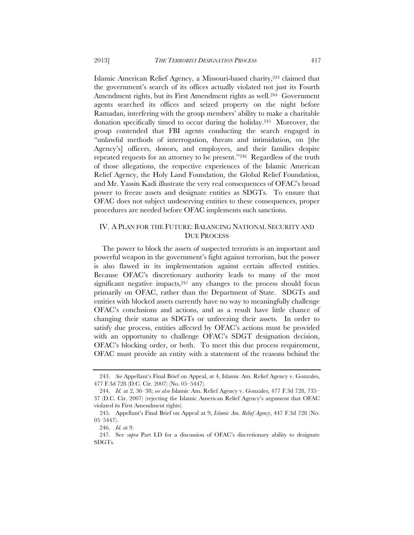Islamic American Relief Agency, a Missouri-based charity,243 claimed that the government's search of its offices actually violated not just its Fourth Amendment rights, but its First Amendment rights as well.<sup>244</sup> Government agents searched its offices and seized property on the night before Ramadan, interfering with the group members' ability to make a charitable donation specifically timed to occur during the holiday.245 Moreover, the group contended that FBI agents conducting the search engaged in "unlawful methods of interrogation, threats and intimidation, on [the Agency's] officers, donors, and employees, and their families despite repeated requests for an attorney to be present."246 Regardless of the truth of those allegations, the respective experiences of the Islamic American Relief Agency, the Holy Land Foundation, the Global Relief Foundation, and Mr. Yassin Kadi illustrate the very real consequences of OFAC's broad power to freeze assets and designate entities as SDGTs. To ensure that OFAC does not subject undeserving entities to these consequences, proper procedures are needed before OFAC implements such sanctions.

# IV. A PLAN FOR THE FUTURE: BALANCING NATIONAL SECURITY AND DUE PROCESS

The power to block the assets of suspected terrorists is an important and powerful weapon in the government's fight against terrorism, but the power is also flawed in its implementation against certain affected entities. Because OFAC's discretionary authority leads to many of the most significant negative impacts, $247$  any changes to the process should focus primarily on OFAC, rather than the Department of State. SDGTs and entities with blocked assets currently have no way to meaningfully challenge OFAC's conclusions and actions, and as a result have little chance of changing their status as SDGTs or unfreezing their assets. In order to satisfy due process, entities affected by OFAC's actions must be provided with an opportunity to challenge OFAC's SDGT designation decision, OFAC's blocking order, or both. To meet this due process requirement, OFAC must provide an entity with a statement of the reasons behind the

 <sup>243.</sup> *See* Appellant's Final Brief on Appeal, at 4, Islamic Am. Relief Agency v. Gonzales, 477 F.3d 728 (D.C. Cir. 2007) (No. 05–5447).

 <sup>244.</sup> *Id.* at 2, 36–38; *see also* Islamic Am. Relief Agency v. Gonzales, 477 F.3d 728, 735– 37 (D.C. Cir. 2007) (rejecting the Islamic American Relief Agency's argument that OFAC violated its First Amendment rights).

<sup>245</sup>*.* Appellant's Final Brief on Appeal at 9, *Islamic Am. Relief Agency*, 447 F.3d 728 (No. 05–5447).

 <sup>246.</sup> *Id.* at 9.

 <sup>247.</sup> See *supra* Part I.D for a discussion of OFAC's discretionary ability to designate SDGTs.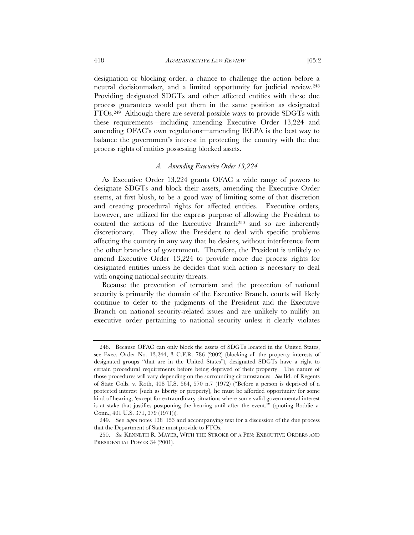designation or blocking order, a chance to challenge the action before a neutral decisionmaker, and a limited opportunity for judicial review.248 Providing designated SDGTs and other affected entities with these due process guarantees would put them in the same position as designated FTOs.249 Although there are several possible ways to provide SDGTs with these requirements—including amending Executive Order 13,224 and amending OFAC's own regulations—amending IEEPA is the best way to balance the government's interest in protecting the country with the due process rights of entities possessing blocked assets.

### *A. Amending Executive Order 13,224*

As Executive Order 13,224 grants OFAC a wide range of powers to designate SDGTs and block their assets, amending the Executive Order seems, at first blush, to be a good way of limiting some of that discretion and creating procedural rights for affected entities. Executive orders, however, are utilized for the express purpose of allowing the President to control the actions of the Executive Branch<sup>250</sup> and so are inherently discretionary. They allow the President to deal with specific problems affecting the country in any way that he desires, without interference from the other branches of government. Therefore, the President is unlikely to amend Executive Order 13,224 to provide more due process rights for designated entities unless he decides that such action is necessary to deal with ongoing national security threats.

Because the prevention of terrorism and the protection of national security is primarily the domain of the Executive Branch, courts will likely continue to defer to the judgments of the President and the Executive Branch on national security-related issues and are unlikely to nullify an executive order pertaining to national security unless it clearly violates

 <sup>248.</sup> Because OFAC can only block the assets of SDGTs located in the United States, see Exec. Order No. 13,244, 3 C.F.R. 786 (2002) (blocking all the property interests of designated groups "that are in the United States"), designated SDGTs have a right to certain procedural requirements before being deprived of their property. The nature of those procedures will vary depending on the surrounding circumstances. *See* Bd. of Regents of State Colls. v. Roth, 408 U.S. 564, 570 n.7 (1972) ("Before a person is deprived of a protected interest [such as liberty or property], he must be afforded opportunity for some kind of hearing, 'except for extraordinary situations where some valid governmental interest is at stake that justifies postponing the hearing until after the event.'" (quoting Boddie v. Conn., 401 U.S. 371, 379 (1971))).

 <sup>249.</sup> See *supra* notes 138–153 and accompanying text for a discussion of the due process that the Department of State must provide to FTOs.

 <sup>250.</sup> *See* KENNETH R. MAYER, WITH THE STROKE OF A PEN: EXECUTIVE ORDERS AND PRESIDENTIAL POWER 34 (2001).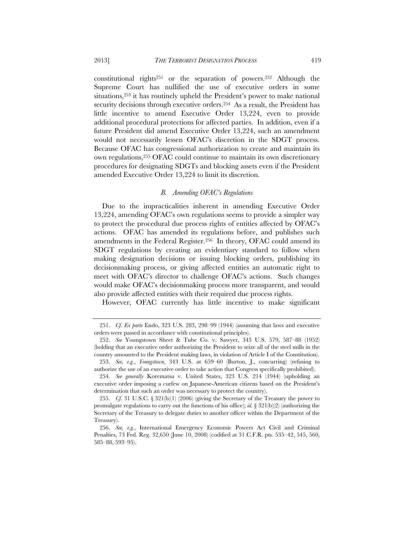constitutional rights251 or the separation of powers.252 Although the Supreme Court has nullified the use of executive orders in some situations,<sup>253</sup> it has routinely upheld the President's power to make national security decisions through executive orders.254 As a result, the President has little incentive to amend Executive Order 13,224, even to provide additional procedural protections for affected parties. In addition, even if a future President did amend Executive Order 13,224, such an amendment would not necessarily lessen OFAC's discretion in the SDGT process. Because OFAC has congressional authorization to create and maintain its own regulations,255 OFAC could continue to maintain its own discretionary procedures for designating SDGTs and blocking assets even if the President amended Executive Order 13,224 to limit its discretion.

#### *B. Amending OFAC's Regulations*

Due to the impracticalities inherent in amending Executive Order 13,224, amending OFAC's own regulations seems to provide a simpler way to protect the procedural due process rights of entities affected by OFAC's actions. OFAC has amended its regulations before, and publishes such amendments in the Federal Register.256 In theory, OFAC could amend its SDGT regulations by creating an evidentiary standard to follow when making designation decisions or issuing blocking orders, publishing its decisionmaking process, or giving affected entities an automatic right to meet with OFAC's director to challenge OFAC's actions. Such changes would make OFAC's decisionmaking process more transparent, and would also provide affected entities with their required due process rights.

However, OFAC currently has little incentive to make significant

 253. *See, e.g.*, *Youngstown*, 343 U.S. at 659–60 (Burton, J., concurring) (refusing to authorize the use of an executive order to take action that Congress specifically prohibited).

 <sup>251.</sup> *Cf. Ex parte* Endo, 323 U.S. 283, 298–99 (1944) (assuming that laws and executive orders were passed in accordance with constitutional principles).

 <sup>252.</sup> *See* Youngstown Sheet & Tube Co. v. Sawyer, 343 U.S. 579, 587–88 (1952) (holding that an executive order authorizing the President to seize all of the steel mills in the country amounted to the President making laws, in violation of Article I of the Constitution).

 <sup>254.</sup> *See generally* Korematsu v. United States, 323 U.S. 214 (1944) (upholding an executive order imposing a curfew on Japanese-American citizens based on the President's determination that such an order was necessary to protect the country).

 <sup>255.</sup> *Cf.* 31 U.S.C. § 321(b)(1) (2006) (giving the Secretary of the Treasury the power to promulgate regulations to carry out the functions of his office); *id.*  $\S 321(b)(2)$  (authorizing the Secretary of the Treasury to delegate duties to another officer within the Department of the Treasury).

 <sup>256.</sup> *See, e.g.*, International Emergency Economic Powers Act Civil and Criminal Penalties, 73 Fed. Reg. 32,650 (June 10, 2008) (codified at 31 C.F.R. pts. 535–42, 545, 560, 585–88, 593–95).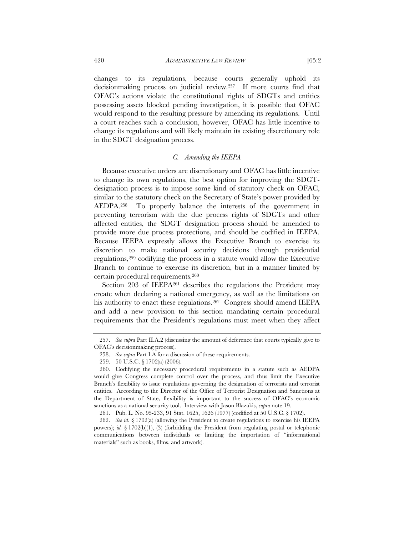changes to its regulations, because courts generally uphold its decisionmaking process on judicial review.257 If more courts find that OFAC's actions violate the constitutional rights of SDGTs and entities possessing assets blocked pending investigation, it is possible that OFAC would respond to the resulting pressure by amending its regulations. Until a court reaches such a conclusion, however, OFAC has little incentive to change its regulations and will likely maintain its existing discretionary role

#### *C. Amending the IEEPA*

Because executive orders are discretionary and OFAC has little incentive to change its own regulations, the best option for improving the SDGTdesignation process is to impose some kind of statutory check on OFAC, similar to the statutory check on the Secretary of State's power provided by AEDPA.258 To properly balance the interests of the government in preventing terrorism with the due process rights of SDGTs and other affected entities, the SDGT designation process should be amended to provide more due process protections, and should be codified in IEEPA. Because IEEPA expressly allows the Executive Branch to exercise its discretion to make national security decisions through presidential regulations,259 codifying the process in a statute would allow the Executive Branch to continue to exercise its discretion, but in a manner limited by certain procedural requirements.260

Section 203 of IEEPA261 describes the regulations the President may create when declaring a national emergency, as well as the limitations on his authority to enact these regulations.<sup>262</sup> Congress should amend IEEPA and add a new provision to this section mandating certain procedural requirements that the President's regulations must meet when they affect

in the SDGT designation process.

 <sup>257.</sup> *See supra* Part II.A.2 (discussing the amount of deference that courts typically give to OFAC's decisionmaking process).

 <sup>258.</sup> *See supra* Part I.A for a discussion of these requirements.

 <sup>259. 50</sup> U.S.C. § 1702(a) (2006).

 <sup>260.</sup> Codifying the necessary procedural requirements in a statute such as AEDPA would give Congress complete control over the process, and thus limit the Executive Branch's flexibility to issue regulations governing the designation of terrorists and terrorist entities. According to the Director of the Office of Terrorist Designation and Sanctions at the Department of State, flexibility is important to the success of OFAC's economic sanctions as a national security tool. Interview with Jason Blazakis, *supra* note 19.

 <sup>261.</sup> Pub. L. No. 95-233, 91 Stat. 1625, 1626 (1977) (codified at 50 U.S.C. § 1702).

 <sup>262.</sup> *See id.* § 1702(a) (allowing the President to create regulations to exercise his IEEPA powers); *id.* § 1702(b)(1), (3) (forbidding the President from regulating postal or telephonic communications between individuals or limiting the importation of "informational materials" such as books, films, and artwork).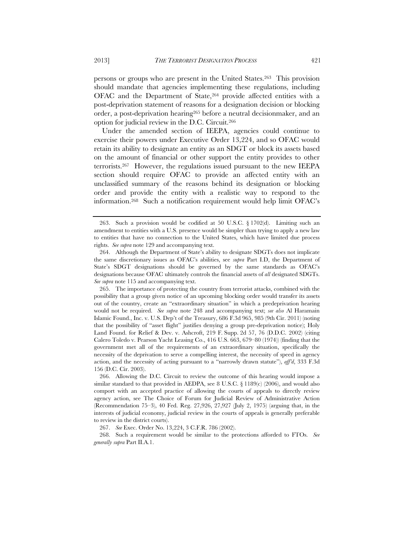persons or groups who are present in the United States.263 This provision should mandate that agencies implementing these regulations, including OFAC and the Department of State,<sup>264</sup> provide affected entities with a post-deprivation statement of reasons for a designation decision or blocking order, a post-deprivation hearing265 before a neutral decisionmaker, and an option for judicial review in the D.C. Circuit.266

Under the amended section of IEEPA, agencies could continue to exercise their powers under Executive Order 13,224, and so OFAC would retain its ability to designate an entity as an SDGT or block its assets based on the amount of financial or other support the entity provides to other terrorists.267 However, the regulations issued pursuant to the new IEEPA section should require OFAC to provide an affected entity with an unclassified summary of the reasons behind its designation or blocking order and provide the entity with a realistic way to respond to the information.268 Such a notification requirement would help limit OFAC's

 265. The importance of protecting the country from terrorist attacks, combined with the possibility that a group given notice of an upcoming blocking order would transfer its assets out of the country, create an "extraordinary situation" in which a predeprivation hearing would not be required. *See supra* note 248 and accompanying text; *see also* Al Haramain Islamic Found., Inc. v. U.S. Dep't of the Treasury, 686 F.3d 965, 985 (9th Cir. 2011) (noting that the possibility of "asset flight" justifies denying a group pre-deprivation notice); Holy Land Found. for Relief & Dev. v. Ashcroft, 219 F. Supp. 2d 57, 76 (D.D.C. 2002) (citing Calero Toledo v. Pearson Yacht Leasing Co., 416 U.S. 663, 679–80 (1974)) (finding that the government met all of the requirements of an extraordinary situation, specifically the necessity of the deprivation to serve a compelling interest, the necessity of speed in agency action, and the necessity of acting pursuant to a "narrowly drawn statute"), *aff'd*, 333 F.3d 156 (D.C. Cir. 2003).

 266. Allowing the D.C. Circuit to review the outcome of this hearing would impose a similar standard to that provided in AEDPA, see 8 U.S.C.  $\S$  1189(c) (2006), and would also comport with an accepted practice of allowing the courts of appeals to directly review agency action, see The Choice of Forum for Judicial Review of Administrative Action (Recommendation 75–3), 40 Fed. Reg. 27,926, 27,927 (July 2, 1975) (arguing that, in the interests of judicial economy, judicial review in the courts of appeals is generally preferable to review in the district courts).

267. *See* Exec. Order No. 13,224, 3 C.F.R. 786 (2002).

 268. Such a requirement would be similar to the protections afforded to FTOs. *See generally supra* Part II.A.1.

 <sup>263.</sup> Such a provision would be codified at 50 U.S.C. § 1702(d). Limiting such an amendment to entities with a U.S. presence would be simpler than trying to apply a new law to entities that have no connection to the United States, which have limited due process rights. *See supra* note 129 and accompanying text.

 <sup>264.</sup> Although the Department of State's ability to designate SDGTs does not implicate the same discretionary issues as OFAC's abilities, see *supra* Part I.D, the Department of State's SDGT designations should be governed by the same standards as OFAC's designations because OFAC ultimately controls the financial assets of *all* designated SDGTs. *See supra* note 115 and accompanying text.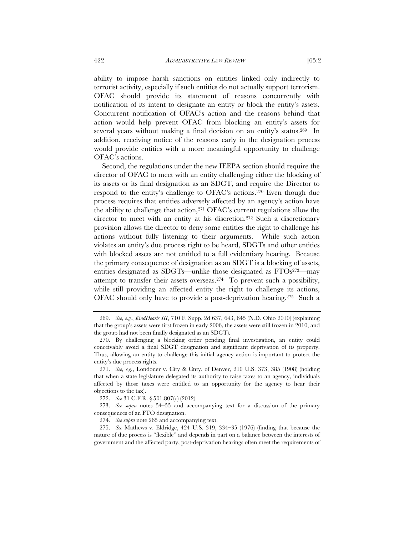ability to impose harsh sanctions on entities linked only indirectly to terrorist activity, especially if such entities do not actually support terrorism. OFAC should provide its statement of reasons concurrently with notification of its intent to designate an entity or block the entity's assets. Concurrent notification of OFAC's action and the reasons behind that action would help prevent OFAC from blocking an entity's assets for several years without making a final decision on an entity's status.269 In addition, receiving notice of the reasons early in the designation process would provide entities with a more meaningful opportunity to challenge OFAC's actions.

Second, the regulations under the new IEEPA section should require the director of OFAC to meet with an entity challenging either the blocking of its assets or its final designation as an SDGT, and require the Director to respond to the entity's challenge to OFAC's actions.270 Even though due process requires that entities adversely affected by an agency's action have the ability to challenge that action,271 OFAC's current regulations allow the director to meet with an entity at his discretion.272 Such a discretionary provision allows the director to deny some entities the right to challenge his actions without fully listening to their arguments. While such action violates an entity's due process right to be heard, SDGTs and other entities with blocked assets are not entitled to a full evidentiary hearing. Because the primary consequence of designation as an SDGT is a blocking of assets, entities designated as SDGTs—unlike those designated as FTOs<sup>273</sup>—may attempt to transfer their assets overseas.<sup>274</sup> To prevent such a possibility, while still providing an affected entity the right to challenge its actions, OFAC should only have to provide a post-deprivation hearing.275 Such a

 <sup>269.</sup> *See, e.g.*, *KindHearts III*, 710 F. Supp. 2d 637, 643, 645 (N.D. Ohio 2010) (explaining that the group's assets were first frozen in early 2006, the assets were still frozen in 2010, and the group had not been finally designated as an SDGT).

 <sup>270.</sup> By challenging a blocking order pending final investigation, an entity could conceivably avoid a final SDGT designation and significant deprivation of its property. Thus, allowing an entity to challenge this initial agency action is important to protect the entity's due process rights.

 <sup>271.</sup> *See, e.g.*, Londoner v. City & Cnty. of Denver, 210 U.S. 373, 385 (1908) (holding that when a state legislature delegated its authority to raise taxes to an agency, individuals affected by those taxes were entitled to an opportunity for the agency to hear their objections to the tax).

 <sup>272.</sup> *See* 31 C.F.R. § 501.807(c) (2012).

 <sup>273.</sup> *See supra* notes 54–55 and accompanying text for a discussion of the primary consequences of an FTO designation.

 <sup>274.</sup> *See supra* note 265 and accompanying text.

 <sup>275.</sup> *See* Mathews v. Eldridge, 424 U.S. 319, 334–35 (1976) (finding that because the nature of due process is "flexible" and depends in part on a balance between the interests of government and the affected party, post-deprivation hearings often meet the requirements of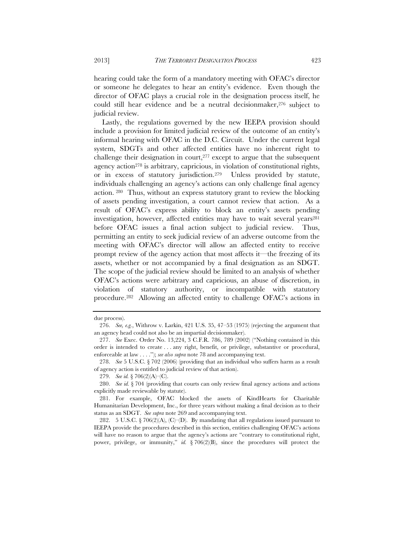hearing could take the form of a mandatory meeting with OFAC's director or someone he delegates to hear an entity's evidence. Even though the director of OFAC plays a crucial role in the designation process itself, he could still hear evidence and be a neutral decisionmaker,276 subject to judicial review.

Lastly, the regulations governed by the new IEEPA provision should include a provision for limited judicial review of the outcome of an entity's informal hearing with OFAC in the D.C. Circuit. Under the current legal system, SDGTs and other affected entities have no inherent right to challenge their designation in court, $277$  except to argue that the subsequent agency action<sup>278</sup> is arbitrary, capricious, in violation of constitutional rights, or in excess of statutory jurisdiction.279 Unless provided by statute, individuals challenging an agency's actions can only challenge final agency action. 280 Thus, without an express statutory grant to review the blocking of assets pending investigation, a court cannot review that action. As a result of OFAC's express ability to block an entity's assets pending investigation, however, affected entities may have to wait several years<sup>281</sup> before OFAC issues a final action subject to judicial review. Thus, permitting an entity to seek judicial review of an adverse outcome from the meeting with OFAC's director will allow an affected entity to receive prompt review of the agency action that most affects it—the freezing of its assets, whether or not accompanied by a final designation as an SDGT. The scope of the judicial review should be limited to an analysis of whether OFAC's actions were arbitrary and capricious, an abuse of discretion, in violation of statutory authority, or incompatible with statutory procedure.282 Allowing an affected entity to challenge OFAC's actions in

due process).

 <sup>276.</sup> *See, e.g.*, Withrow v. Larkin, 421 U.S. 35, 47–53 (1975) (rejecting the argument that an agency head could not also be an impartial decisionmaker).

 <sup>277.</sup> *See* Exec. Order No. 13,224, 3 C.F.R. 786, 789 (2002) ("Nothing contained in this order is intended to create . . . any right, benefit, or privilege, substantive or procedural, enforceable at law . . . ."); *see also supra* note 78 and accompanying text.

 <sup>278.</sup> *See* 5 U.S.C. § 702 (2006) (providing that an individual who suffers harm as a result of agency action is entitled to judicial review of that action).

 <sup>279.</sup> *See id.* § 706(2)(A)–(C).

 <sup>280.</sup> *See id.* § 704 (providing that courts can only review final agency actions and actions explicitly made reviewable by statute).

 <sup>281.</sup> For example, OFAC blocked the assets of KindHearts for Charitable Humanitarian Development, Inc., for three years without making a final decision as to their status as an SDGT. *See supra* note 269 and accompanying text.

<sup>282. 5</sup> U.S.C. § 706(2)(A), (C)–(D). By mandating that all regulations issued pursuant to IEEPA provide the procedures described in this section, entities challenging OFAC's actions will have no reason to argue that the agency's actions are "contrary to constitutional right, power, privilege, or immunity," *id.* § 706(2)(B), since the procedures will protect the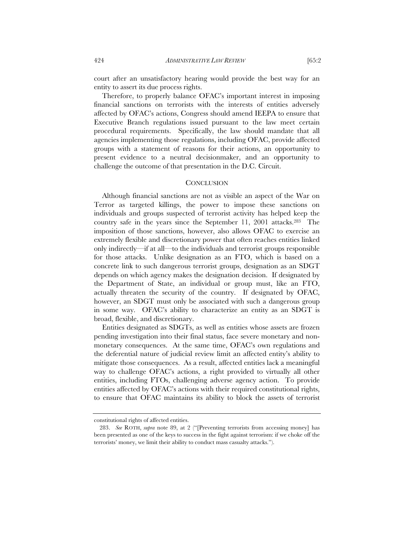court after an unsatisfactory hearing would provide the best way for an entity to assert its due process rights.

Therefore, to properly balance OFAC's important interest in imposing financial sanctions on terrorists with the interests of entities adversely affected by OFAC's actions, Congress should amend IEEPA to ensure that Executive Branch regulations issued pursuant to the law meet certain procedural requirements. Specifically, the law should mandate that all agencies implementing those regulations, including OFAC, provide affected groups with a statement of reasons for their actions, an opportunity to present evidence to a neutral decisionmaker, and an opportunity to challenge the outcome of that presentation in the D.C. Circuit.

#### **CONCLUSION**

Although financial sanctions are not as visible an aspect of the War on Terror as targeted killings, the power to impose these sanctions on individuals and groups suspected of terrorist activity has helped keep the country safe in the years since the September 11, 2001 attacks.283 The imposition of those sanctions, however, also allows OFAC to exercise an extremely flexible and discretionary power that often reaches entities linked only indirectly—if at all—to the individuals and terrorist groups responsible for those attacks. Unlike designation as an FTO, which is based on a concrete link to such dangerous terrorist groups, designation as an SDGT depends on which agency makes the designation decision. If designated by the Department of State, an individual or group must, like an FTO, actually threaten the security of the country. If designated by OFAC, however, an SDGT must only be associated with such a dangerous group in some way. OFAC's ability to characterize an entity as an SDGT is broad, flexible, and discretionary.

Entities designated as SDGTs, as well as entities whose assets are frozen pending investigation into their final status, face severe monetary and nonmonetary consequences. At the same time, OFAC's own regulations and the deferential nature of judicial review limit an affected entity's ability to mitigate those consequences. As a result, affected entities lack a meaningful way to challenge OFAC's actions, a right provided to virtually all other entities, including FTOs, challenging adverse agency action. To provide entities affected by OFAC's actions with their required constitutional rights, to ensure that OFAC maintains its ability to block the assets of terrorist

constitutional rights of affected entities.

 <sup>283.</sup> *See* ROTH, *supra* note 89, at 2 ("[Preventing terrorists from accessing money] has been presented as one of the keys to success in the fight against terrorism: if we choke off the terrorists' money, we limit their ability to conduct mass casualty attacks.").